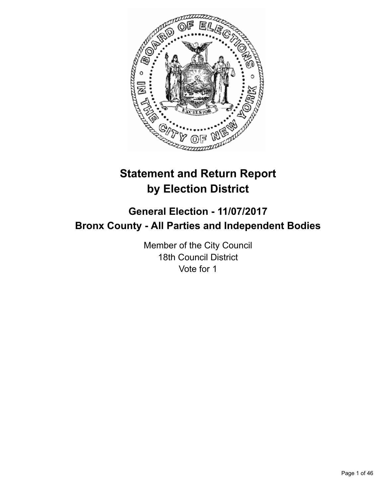

# **Statement and Return Report by Election District**

# **General Election - 11/07/2017 Bronx County - All Parties and Independent Bodies**

Member of the City Council 18th Council District Vote for 1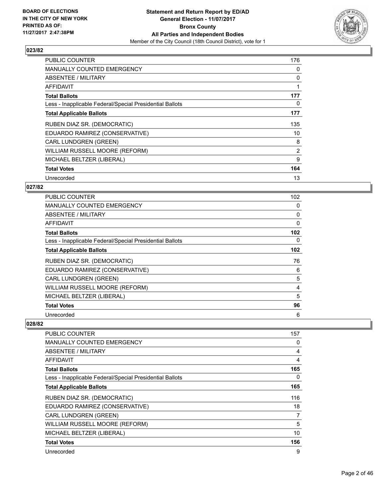

| <b>PUBLIC COUNTER</b>                                    | 176            |
|----------------------------------------------------------|----------------|
| <b>MANUALLY COUNTED EMERGENCY</b>                        | 0              |
| <b>ABSENTEE / MILITARY</b>                               | 0              |
| AFFIDAVIT                                                |                |
| <b>Total Ballots</b>                                     | 177            |
| Less - Inapplicable Federal/Special Presidential Ballots | 0              |
| <b>Total Applicable Ballots</b>                          | 177            |
| RUBEN DIAZ SR. (DEMOCRATIC)                              | 135            |
| EDUARDO RAMIREZ (CONSERVATIVE)                           | 10             |
| <b>CARL LUNDGREN (GREEN)</b>                             | 8              |
| WILLIAM RUSSELL MOORE (REFORM)                           | $\overline{2}$ |
| MICHAEL BELTZER (LIBERAL)                                | 9              |
| <b>Total Votes</b>                                       | 164            |
|                                                          |                |

# **027/82**

| <b>PUBLIC COUNTER</b>                                    | 102 |
|----------------------------------------------------------|-----|
| <b>MANUALLY COUNTED EMERGENCY</b>                        | 0   |
| ABSENTEE / MILITARY                                      | 0   |
| <b>AFFIDAVIT</b>                                         | 0   |
| <b>Total Ballots</b>                                     | 102 |
| Less - Inapplicable Federal/Special Presidential Ballots | 0   |
| <b>Total Applicable Ballots</b>                          | 102 |
| RUBEN DIAZ SR. (DEMOCRATIC)                              | 76  |
| EDUARDO RAMIREZ (CONSERVATIVE)                           | 6   |
| <b>CARL LUNDGREN (GREEN)</b>                             | 5   |
| WILLIAM RUSSELL MOORE (REFORM)                           | 4   |
| MICHAEL BELTZER (LIBERAL)                                | 5   |
| <b>Total Votes</b>                                       | 96  |
| Unrecorded                                               | 6   |

| <b>PUBLIC COUNTER</b>                                    | 157            |
|----------------------------------------------------------|----------------|
| <b>MANUALLY COUNTED EMERGENCY</b>                        | 0              |
| <b>ABSENTEE / MILITARY</b>                               | 4              |
| AFFIDAVIT                                                | 4              |
| <b>Total Ballots</b>                                     | 165            |
| Less - Inapplicable Federal/Special Presidential Ballots | 0              |
| <b>Total Applicable Ballots</b>                          | 165            |
| RUBEN DIAZ SR. (DEMOCRATIC)                              | 116            |
| EDUARDO RAMIREZ (CONSERVATIVE)                           | 18             |
| <b>CARL LUNDGREN (GREEN)</b>                             | $\overline{7}$ |
| WILLIAM RUSSELL MOORE (REFORM)                           | 5              |
| MICHAEL BELTZER (LIBERAL)                                | 10             |
| <b>Total Votes</b>                                       | 156            |
| Unrecorded                                               | 9              |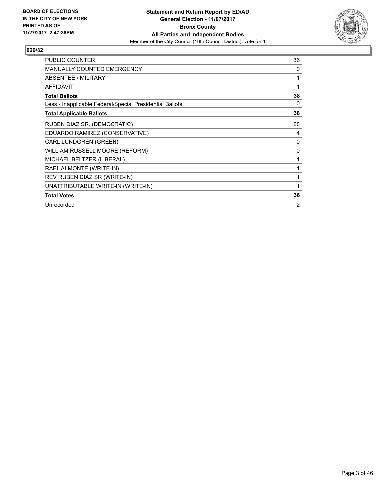

| <b>PUBLIC COUNTER</b>                                    | 36           |
|----------------------------------------------------------|--------------|
| <b>MANUALLY COUNTED EMERGENCY</b>                        | 0            |
| <b>ABSENTEE / MILITARY</b>                               | 1            |
| <b>AFFIDAVIT</b>                                         | 1            |
| <b>Total Ballots</b>                                     | 38           |
| Less - Inapplicable Federal/Special Presidential Ballots | 0            |
| <b>Total Applicable Ballots</b>                          | 38           |
| RUBEN DIAZ SR. (DEMOCRATIC)                              | 28           |
| EDUARDO RAMIREZ (CONSERVATIVE)                           | 4            |
| CARL LUNDGREN (GREEN)                                    | 0            |
| WILLIAM RUSSELL MOORE (REFORM)                           | 0            |
| MICHAEL BELTZER (LIBERAL)                                | 1            |
| RAEL ALMONTE (WRITE-IN)                                  | 1            |
| REV RUBEN DIAZ SR (WRITE-IN)                             | 1            |
| UNATTRIBUTABLE WRITE-IN (WRITE-IN)                       | $\mathbf{1}$ |
| <b>Total Votes</b>                                       | 36           |
| Unrecorded                                               | 2            |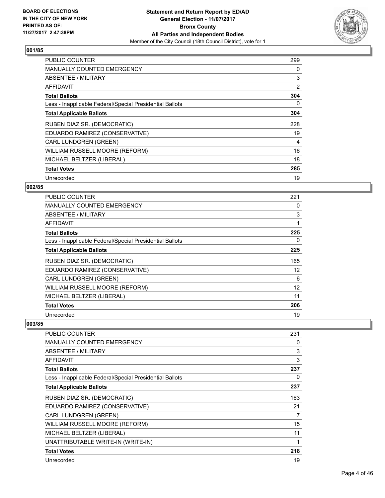

| <b>PUBLIC COUNTER</b>                                    | 299 |
|----------------------------------------------------------|-----|
| <b>MANUALLY COUNTED EMERGENCY</b>                        | 0   |
| <b>ABSENTEE / MILITARY</b>                               | 3   |
| AFFIDAVIT                                                | 2   |
| <b>Total Ballots</b>                                     | 304 |
| Less - Inapplicable Federal/Special Presidential Ballots | 0   |
| <b>Total Applicable Ballots</b>                          | 304 |
| RUBEN DIAZ SR. (DEMOCRATIC)                              | 228 |
| EDUARDO RAMIREZ (CONSERVATIVE)                           | 19  |
| <b>CARL LUNDGREN (GREEN)</b>                             | 4   |
| WILLIAM RUSSELL MOORE (REFORM)                           | 16  |
| MICHAEL BELTZER (LIBERAL)                                | 18  |
| <b>Total Votes</b>                                       | 285 |
| Unrecorded                                               | 19  |

# **002/85**

| PUBLIC COUNTER                                           | 221 |
|----------------------------------------------------------|-----|
| <b>MANUALLY COUNTED EMERGENCY</b>                        | 0   |
| <b>ABSENTEE / MILITARY</b>                               | 3   |
| <b>AFFIDAVIT</b>                                         |     |
| <b>Total Ballots</b>                                     | 225 |
| Less - Inapplicable Federal/Special Presidential Ballots | 0   |
| <b>Total Applicable Ballots</b>                          | 225 |
| RUBEN DIAZ SR. (DEMOCRATIC)                              | 165 |
| EDUARDO RAMIREZ (CONSERVATIVE)                           | 12  |
| <b>CARL LUNDGREN (GREEN)</b>                             | 6   |
| WILLIAM RUSSELL MOORE (REFORM)                           | 12  |
| MICHAEL BELTZER (LIBERAL)                                | 11  |
| <b>Total Votes</b>                                       | 206 |
| Unrecorded                                               | 19  |

| PUBLIC COUNTER                                           | 231 |
|----------------------------------------------------------|-----|
| <b>MANUALLY COUNTED EMERGENCY</b>                        | 0   |
| <b>ABSENTEE / MILITARY</b>                               | 3   |
| AFFIDAVIT                                                | 3   |
| <b>Total Ballots</b>                                     | 237 |
| Less - Inapplicable Federal/Special Presidential Ballots | 0   |
| <b>Total Applicable Ballots</b>                          | 237 |
| RUBEN DIAZ SR. (DEMOCRATIC)                              | 163 |
| EDUARDO RAMIREZ (CONSERVATIVE)                           | 21  |
| <b>CARL LUNDGREN (GREEN)</b>                             | 7   |
| WILLIAM RUSSELL MOORE (REFORM)                           | 15  |
| MICHAEL BELTZER (LIBERAL)                                | 11  |
| UNATTRIBUTABLE WRITE-IN (WRITE-IN)                       | 1   |
| <b>Total Votes</b>                                       | 218 |
| Unrecorded                                               | 19  |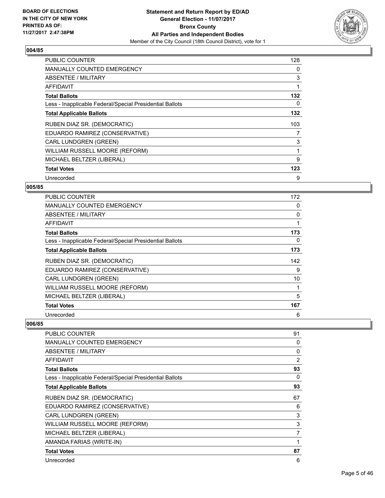

| <b>PUBLIC COUNTER</b>                                    | 128 |
|----------------------------------------------------------|-----|
| <b>MANUALLY COUNTED EMERGENCY</b>                        | 0   |
| ABSENTEE / MILITARY                                      | 3   |
| <b>AFFIDAVIT</b>                                         |     |
| <b>Total Ballots</b>                                     | 132 |
| Less - Inapplicable Federal/Special Presidential Ballots | 0   |
| <b>Total Applicable Ballots</b>                          | 132 |
| RUBEN DIAZ SR. (DEMOCRATIC)                              | 103 |
| EDUARDO RAMIREZ (CONSERVATIVE)                           | 7   |
| <b>CARL LUNDGREN (GREEN)</b>                             | 3   |
| WILLIAM RUSSELL MOORE (REFORM)                           | 1   |
| MICHAEL BELTZER (LIBERAL)                                | 9   |
| <b>Total Votes</b>                                       | 123 |
|                                                          |     |

# **005/85**

| <b>PUBLIC COUNTER</b>                                    | 172 |
|----------------------------------------------------------|-----|
| <b>MANUALLY COUNTED EMERGENCY</b>                        | 0   |
| ABSENTEE / MILITARY                                      | 0   |
| AFFIDAVIT                                                |     |
| <b>Total Ballots</b>                                     | 173 |
| Less - Inapplicable Federal/Special Presidential Ballots | 0   |
| <b>Total Applicable Ballots</b>                          | 173 |
| RUBEN DIAZ SR. (DEMOCRATIC)                              | 142 |
| EDUARDO RAMIREZ (CONSERVATIVE)                           | 9   |
| CARL LUNDGREN (GREEN)                                    | 10  |
| WILLIAM RUSSELL MOORE (REFORM)                           | 1   |
| MICHAEL BELTZER (LIBERAL)                                | 5   |
| <b>Total Votes</b>                                       | 167 |
| Unrecorded                                               | 6   |

| PUBLIC COUNTER                                           | 91             |
|----------------------------------------------------------|----------------|
| <b>MANUALLY COUNTED EMERGENCY</b>                        | 0              |
| <b>ABSENTEE / MILITARY</b>                               | 0              |
| <b>AFFIDAVIT</b>                                         | $\overline{2}$ |
| <b>Total Ballots</b>                                     | 93             |
| Less - Inapplicable Federal/Special Presidential Ballots | 0              |
| <b>Total Applicable Ballots</b>                          | 93             |
| RUBEN DIAZ SR. (DEMOCRATIC)                              | 67             |
| EDUARDO RAMIREZ (CONSERVATIVE)                           | 6              |
| CARL LUNDGREN (GREEN)                                    | 3              |
| WILLIAM RUSSELL MOORE (REFORM)                           | 3              |
| MICHAEL BELTZER (LIBERAL)                                | 7              |
| AMANDA FARIAS (WRITE-IN)                                 | 1              |
| <b>Total Votes</b>                                       | 87             |
| Unrecorded                                               | 6              |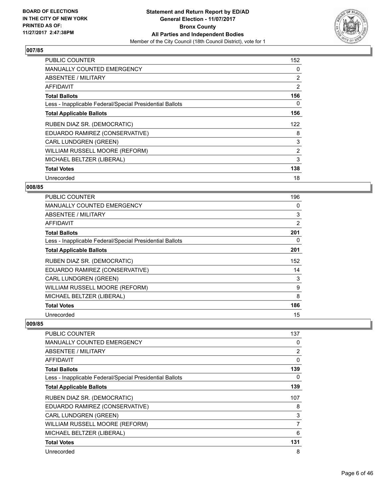

| <b>PUBLIC COUNTER</b>                                    | 152            |
|----------------------------------------------------------|----------------|
| <b>MANUALLY COUNTED EMERGENCY</b>                        | 0              |
| <b>ABSENTEE / MILITARY</b>                               | 2              |
| <b>AFFIDAVIT</b>                                         | 2              |
| <b>Total Ballots</b>                                     | 156            |
| Less - Inapplicable Federal/Special Presidential Ballots | 0              |
| <b>Total Applicable Ballots</b>                          | 156            |
| RUBEN DIAZ SR. (DEMOCRATIC)                              | 122            |
| EDUARDO RAMIREZ (CONSERVATIVE)                           | 8              |
| <b>CARL LUNDGREN (GREEN)</b>                             | 3              |
| WILLIAM RUSSELL MOORE (REFORM)                           | $\overline{2}$ |
| MICHAEL BELTZER (LIBERAL)                                | 3              |
| <b>Total Votes</b>                                       | 138            |
| Unrecorded                                               | 18             |

# **008/85**

| <b>PUBLIC COUNTER</b>                                    | 196            |
|----------------------------------------------------------|----------------|
| <b>MANUALLY COUNTED EMERGENCY</b>                        | 0              |
| ABSENTEE / MILITARY                                      | 3              |
| <b>AFFIDAVIT</b>                                         | $\overline{2}$ |
| <b>Total Ballots</b>                                     | 201            |
| Less - Inapplicable Federal/Special Presidential Ballots | 0              |
| <b>Total Applicable Ballots</b>                          | 201            |
| RUBEN DIAZ SR. (DEMOCRATIC)                              | 152            |
| EDUARDO RAMIREZ (CONSERVATIVE)                           | 14             |
| CARL LUNDGREN (GREEN)                                    | 3              |
| WILLIAM RUSSELL MOORE (REFORM)                           | 9              |
| MICHAEL BELTZER (LIBERAL)                                | 8              |
| <b>Total Votes</b>                                       | 186            |
| Unrecorded                                               | 15             |

| <b>PUBLIC COUNTER</b>                                    | 137 |
|----------------------------------------------------------|-----|
| <b>MANUALLY COUNTED EMERGENCY</b>                        | 0   |
| <b>ABSENTEE / MILITARY</b>                               | 2   |
| <b>AFFIDAVIT</b>                                         | 0   |
| <b>Total Ballots</b>                                     | 139 |
| Less - Inapplicable Federal/Special Presidential Ballots | 0   |
| <b>Total Applicable Ballots</b>                          | 139 |
| RUBEN DIAZ SR. (DEMOCRATIC)                              | 107 |
| EDUARDO RAMIREZ (CONSERVATIVE)                           | 8   |
| <b>CARL LUNDGREN (GREEN)</b>                             | 3   |
| WILLIAM RUSSELL MOORE (REFORM)                           | 7   |
| MICHAEL BELTZER (LIBERAL)                                | 6   |
| <b>Total Votes</b>                                       | 131 |
| Unrecorded                                               | 8   |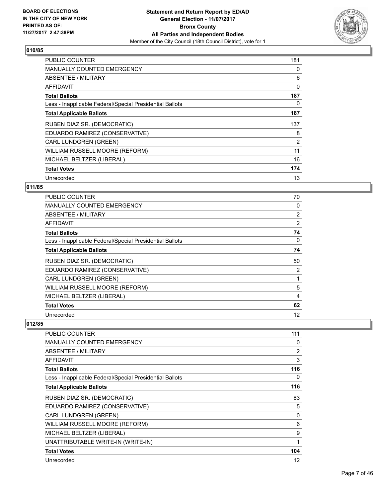

| <b>PUBLIC COUNTER</b>                                    | 181 |
|----------------------------------------------------------|-----|
| <b>MANUALLY COUNTED EMERGENCY</b>                        | 0   |
| ABSENTEE / MILITARY                                      | 6   |
| AFFIDAVIT                                                | 0   |
| <b>Total Ballots</b>                                     | 187 |
| Less - Inapplicable Federal/Special Presidential Ballots | 0   |
| <b>Total Applicable Ballots</b>                          | 187 |
| RUBEN DIAZ SR. (DEMOCRATIC)                              | 137 |
| EDUARDO RAMIREZ (CONSERVATIVE)                           | 8   |
| <b>CARL LUNDGREN (GREEN)</b>                             | 2   |
| WILLIAM RUSSELL MOORE (REFORM)                           | 11  |
| MICHAEL BELTZER (LIBERAL)                                | 16  |
| <b>Total Votes</b>                                       | 174 |
| Unrecorded                                               | 13  |

# **011/85**

| <b>PUBLIC COUNTER</b>                                    | 70             |
|----------------------------------------------------------|----------------|
| <b>MANUALLY COUNTED EMERGENCY</b>                        | 0              |
| ABSENTEE / MILITARY                                      | $\overline{2}$ |
| AFFIDAVIT                                                | 2              |
| <b>Total Ballots</b>                                     | 74             |
| Less - Inapplicable Federal/Special Presidential Ballots | 0              |
| <b>Total Applicable Ballots</b>                          | 74             |
| RUBEN DIAZ SR. (DEMOCRATIC)                              | 50             |
| EDUARDO RAMIREZ (CONSERVATIVE)                           | 2              |
| <b>CARL LUNDGREN (GREEN)</b>                             |                |
| WILLIAM RUSSELL MOORE (REFORM)                           | 5              |
| MICHAEL BELTZER (LIBERAL)                                | 4              |
| <b>Total Votes</b>                                       | 62             |
| Unrecorded                                               | 12             |

| PUBLIC COUNTER                                           | 111 |
|----------------------------------------------------------|-----|
| <b>MANUALLY COUNTED EMERGENCY</b>                        | 0   |
| <b>ABSENTEE / MILITARY</b>                               | 2   |
| AFFIDAVIT                                                | 3   |
| <b>Total Ballots</b>                                     | 116 |
| Less - Inapplicable Federal/Special Presidential Ballots | 0   |
| <b>Total Applicable Ballots</b>                          | 116 |
| RUBEN DIAZ SR. (DEMOCRATIC)                              | 83  |
| EDUARDO RAMIREZ (CONSERVATIVE)                           | 5   |
| <b>CARL LUNDGREN (GREEN)</b>                             | 0   |
| WILLIAM RUSSELL MOORE (REFORM)                           | 6   |
| MICHAEL BELTZER (LIBERAL)                                | 9   |
| UNATTRIBUTABLE WRITE-IN (WRITE-IN)                       | 1   |
| <b>Total Votes</b>                                       | 104 |
| Unrecorded                                               | 12  |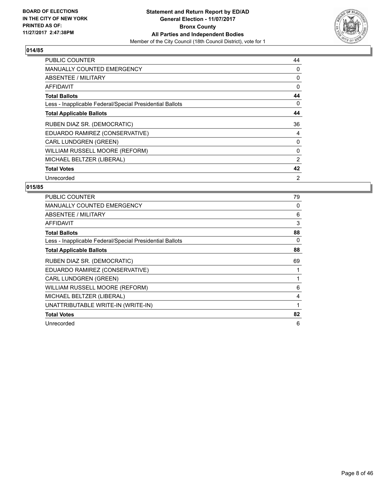

| <b>PUBLIC COUNTER</b>                                    | 44 |
|----------------------------------------------------------|----|
| <b>MANUALLY COUNTED EMERGENCY</b>                        | 0  |
| <b>ABSENTEE / MILITARY</b>                               | 0  |
| AFFIDAVIT                                                | 0  |
| <b>Total Ballots</b>                                     | 44 |
| Less - Inapplicable Federal/Special Presidential Ballots | 0  |
| <b>Total Applicable Ballots</b>                          | 44 |
| RUBEN DIAZ SR. (DEMOCRATIC)                              | 36 |
| EDUARDO RAMIREZ (CONSERVATIVE)                           | 4  |
| <b>CARL LUNDGREN (GREEN)</b>                             | 0  |
| WILLIAM RUSSELL MOORE (REFORM)                           | 0  |
| MICHAEL BELTZER (LIBERAL)                                | 2  |
|                                                          |    |
| <b>Total Votes</b>                                       | 42 |

| <b>PUBLIC COUNTER</b>                                    | 79 |
|----------------------------------------------------------|----|
| <b>MANUALLY COUNTED EMERGENCY</b>                        | 0  |
| ABSENTEE / MILITARY                                      | 6  |
| AFFIDAVIT                                                | 3  |
| <b>Total Ballots</b>                                     | 88 |
| Less - Inapplicable Federal/Special Presidential Ballots | 0  |
| <b>Total Applicable Ballots</b>                          | 88 |
| RUBEN DIAZ SR. (DEMOCRATIC)                              | 69 |
| EDUARDO RAMIREZ (CONSERVATIVE)                           |    |
| <b>CARL LUNDGREN (GREEN)</b>                             | 1  |
| WILLIAM RUSSELL MOORE (REFORM)                           | 6  |
| MICHAEL BELTZER (LIBERAL)                                | 4  |
| UNATTRIBUTABLE WRITE-IN (WRITE-IN)                       | 1  |
| <b>Total Votes</b>                                       | 82 |
| Unrecorded                                               | 6  |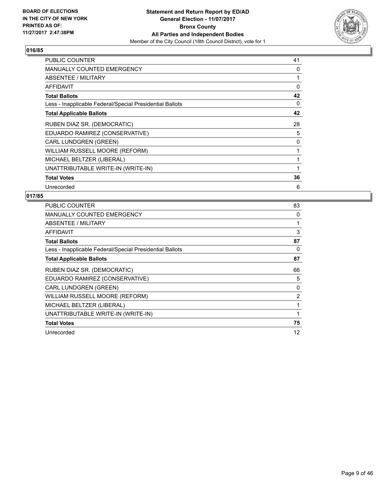

| <b>PUBLIC COUNTER</b>                                    | 41 |
|----------------------------------------------------------|----|
| MANUALLY COUNTED EMERGENCY                               | 0  |
| ABSENTEE / MILITARY                                      | 1  |
| <b>AFFIDAVIT</b>                                         | 0  |
| <b>Total Ballots</b>                                     | 42 |
| Less - Inapplicable Federal/Special Presidential Ballots | 0  |
| <b>Total Applicable Ballots</b>                          | 42 |
| RUBEN DIAZ SR. (DEMOCRATIC)                              | 28 |
| EDUARDO RAMIREZ (CONSERVATIVE)                           | 5  |
| <b>CARL LUNDGREN (GREEN)</b>                             | 0  |
| WILLIAM RUSSELL MOORE (REFORM)                           | 1  |
| MICHAEL BELTZER (LIBERAL)                                | 1  |
| UNATTRIBUTABLE WRITE-IN (WRITE-IN)                       | 1  |
| <b>Total Votes</b>                                       | 36 |
| Unrecorded                                               | 6  |

| <b>PUBLIC COUNTER</b>                                    | 83             |
|----------------------------------------------------------|----------------|
| <b>MANUALLY COUNTED EMERGENCY</b>                        | 0              |
| ABSENTEE / MILITARY                                      |                |
| AFFIDAVIT                                                | 3              |
| <b>Total Ballots</b>                                     | 87             |
| Less - Inapplicable Federal/Special Presidential Ballots | 0              |
| <b>Total Applicable Ballots</b>                          | 87             |
| RUBEN DIAZ SR. (DEMOCRATIC)                              | 66             |
| EDUARDO RAMIREZ (CONSERVATIVE)                           | 5              |
| <b>CARL LUNDGREN (GREEN)</b>                             | 0              |
| WILLIAM RUSSELL MOORE (REFORM)                           | $\overline{2}$ |
| MICHAEL BELTZER (LIBERAL)                                | 1              |
| UNATTRIBUTABLE WRITE-IN (WRITE-IN)                       | 1              |
| <b>Total Votes</b>                                       | 75             |
| Unrecorded                                               | 12             |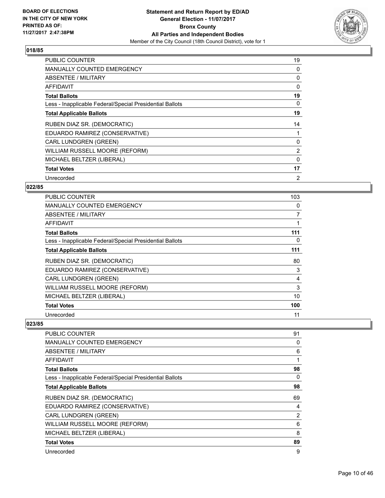

| <b>PUBLIC COUNTER</b>                                    | 19 |
|----------------------------------------------------------|----|
| <b>MANUALLY COUNTED EMERGENCY</b>                        | 0  |
| <b>ABSENTEE / MILITARY</b>                               | 0  |
| AFFIDAVIT                                                | 0  |
| <b>Total Ballots</b>                                     | 19 |
| Less - Inapplicable Federal/Special Presidential Ballots | 0  |
| <b>Total Applicable Ballots</b>                          | 19 |
| RUBEN DIAZ SR. (DEMOCRATIC)                              | 14 |
| EDUARDO RAMIREZ (CONSERVATIVE)                           |    |
| <b>CARL LUNDGREN (GREEN)</b>                             | 0  |
| WILLIAM RUSSELL MOORE (REFORM)                           | 2  |
| MICHAEL BELTZER (LIBERAL)                                | 0  |
| <b>Total Votes</b>                                       | 17 |
| Unrecorded                                               | 2  |

# **022/85**

| <b>PUBLIC COUNTER</b>                                    | 103            |
|----------------------------------------------------------|----------------|
| <b>MANUALLY COUNTED EMERGENCY</b>                        | 0              |
| ABSENTEE / MILITARY                                      | $\overline{7}$ |
| AFFIDAVIT                                                |                |
| <b>Total Ballots</b>                                     | 111            |
| Less - Inapplicable Federal/Special Presidential Ballots | 0              |
| <b>Total Applicable Ballots</b>                          | 111            |
| RUBEN DIAZ SR. (DEMOCRATIC)                              | 80             |
| EDUARDO RAMIREZ (CONSERVATIVE)                           | 3              |
| <b>CARL LUNDGREN (GREEN)</b>                             | 4              |
| WILLIAM RUSSELL MOORE (REFORM)                           | 3              |
| MICHAEL BELTZER (LIBERAL)                                | 10             |
| <b>Total Votes</b>                                       | 100            |
| Unrecorded                                               | 11             |

| <b>PUBLIC COUNTER</b>                                    | 91             |
|----------------------------------------------------------|----------------|
| <b>MANUALLY COUNTED EMERGENCY</b>                        | 0              |
| ABSENTEE / MILITARY                                      | 6              |
| AFFIDAVIT                                                | 1              |
| <b>Total Ballots</b>                                     | 98             |
| Less - Inapplicable Federal/Special Presidential Ballots | 0              |
| <b>Total Applicable Ballots</b>                          | 98             |
| RUBEN DIAZ SR. (DEMOCRATIC)                              | 69             |
| EDUARDO RAMIREZ (CONSERVATIVE)                           | 4              |
| <b>CARL LUNDGREN (GREEN)</b>                             | $\overline{2}$ |
| WILLIAM RUSSELL MOORE (REFORM)                           | 6              |
| MICHAEL BELTZER (LIBERAL)                                | 8              |
| <b>Total Votes</b>                                       | 89             |
| Unrecorded                                               | 9              |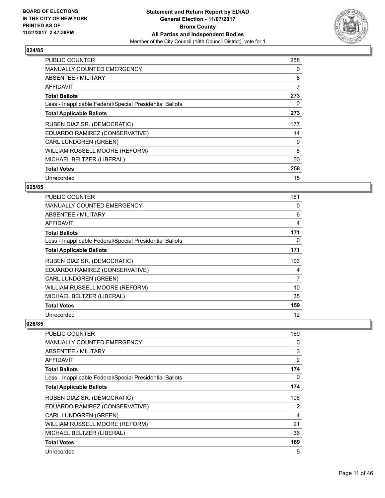

| <b>PUBLIC COUNTER</b>                                    | 258 |
|----------------------------------------------------------|-----|
| <b>MANUALLY COUNTED EMERGENCY</b>                        | 0   |
| ABSENTEE / MILITARY                                      | 8   |
| AFFIDAVIT                                                | 7   |
| <b>Total Ballots</b>                                     | 273 |
| Less - Inapplicable Federal/Special Presidential Ballots | 0   |
| <b>Total Applicable Ballots</b>                          | 273 |
| RUBEN DIAZ SR. (DEMOCRATIC)                              | 177 |
| EDUARDO RAMIREZ (CONSERVATIVE)                           | 14  |
| <b>CARL LUNDGREN (GREEN)</b>                             | 9   |
|                                                          |     |
| WILLIAM RUSSELL MOORE (REFORM)                           | 8   |
| MICHAEL BELTZER (LIBERAL)                                | 50  |
| <b>Total Votes</b>                                       | 258 |

# **025/85**

| PUBLIC COUNTER                                           | 161            |
|----------------------------------------------------------|----------------|
| <b>MANUALLY COUNTED EMERGENCY</b>                        | 0              |
| <b>ABSENTEE / MILITARY</b>                               | 6              |
| <b>AFFIDAVIT</b>                                         | $\overline{4}$ |
| <b>Total Ballots</b>                                     | 171            |
| Less - Inapplicable Federal/Special Presidential Ballots | 0              |
| <b>Total Applicable Ballots</b>                          | 171            |
| RUBEN DIAZ SR. (DEMOCRATIC)                              | 103            |
| EDUARDO RAMIREZ (CONSERVATIVE)                           | 4              |
| <b>CARL LUNDGREN (GREEN)</b>                             | 7              |
| WILLIAM RUSSELL MOORE (REFORM)                           | 10             |
| MICHAEL BELTZER (LIBERAL)                                | 35             |
| <b>Total Votes</b>                                       | 159            |
| Unrecorded                                               | 12             |

| <b>PUBLIC COUNTER</b>                                    | 169 |
|----------------------------------------------------------|-----|
| <b>MANUALLY COUNTED EMERGENCY</b>                        | 0   |
| <b>ABSENTEE / MILITARY</b>                               | 3   |
| <b>AFFIDAVIT</b>                                         | 2   |
| <b>Total Ballots</b>                                     | 174 |
| Less - Inapplicable Federal/Special Presidential Ballots | 0   |
| <b>Total Applicable Ballots</b>                          | 174 |
| RUBEN DIAZ SR. (DEMOCRATIC)                              | 106 |
| EDUARDO RAMIREZ (CONSERVATIVE)                           | 2   |
| <b>CARL LUNDGREN (GREEN)</b>                             | 4   |
| WILLIAM RUSSELL MOORE (REFORM)                           | 21  |
| MICHAEL BELTZER (LIBERAL)                                | 36  |
| <b>Total Votes</b>                                       | 169 |
| Unrecorded                                               | 5   |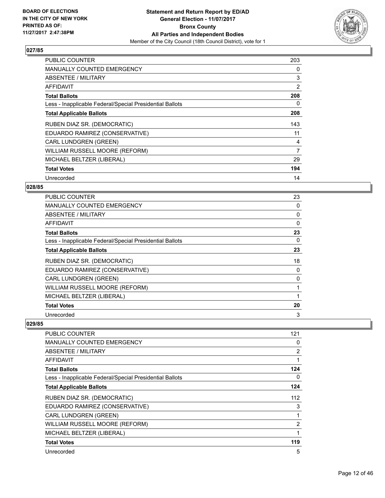

| <b>PUBLIC COUNTER</b>                                    | 203 |
|----------------------------------------------------------|-----|
| <b>MANUALLY COUNTED EMERGENCY</b>                        | 0   |
| <b>ABSENTEE / MILITARY</b>                               | 3   |
| <b>AFFIDAVIT</b>                                         | 2   |
| <b>Total Ballots</b>                                     | 208 |
| Less - Inapplicable Federal/Special Presidential Ballots | 0   |
| <b>Total Applicable Ballots</b>                          | 208 |
| RUBEN DIAZ SR. (DEMOCRATIC)                              | 143 |
|                                                          |     |
| EDUARDO RAMIREZ (CONSERVATIVE)                           | 11  |
| <b>CARL LUNDGREN (GREEN)</b>                             | 4   |
| WILLIAM RUSSELL MOORE (REFORM)                           | 7   |
| MICHAEL BELTZER (LIBERAL)                                | 29  |
| <b>Total Votes</b>                                       | 194 |

# **028/85**

| <b>PUBLIC COUNTER</b>                                    | 23       |
|----------------------------------------------------------|----------|
| <b>MANUALLY COUNTED EMERGENCY</b>                        | 0        |
| ABSENTEE / MILITARY                                      | 0        |
| AFFIDAVIT                                                | $\Omega$ |
| <b>Total Ballots</b>                                     | 23       |
| Less - Inapplicable Federal/Special Presidential Ballots | 0        |
| <b>Total Applicable Ballots</b>                          | 23       |
| RUBEN DIAZ SR. (DEMOCRATIC)                              | 18       |
| EDUARDO RAMIREZ (CONSERVATIVE)                           | 0        |
| <b>CARL LUNDGREN (GREEN)</b>                             | 0        |
| WILLIAM RUSSELL MOORE (REFORM)                           |          |
| MICHAEL BELTZER (LIBERAL)                                |          |
| <b>Total Votes</b>                                       | 20       |
| Unrecorded                                               | 3        |

| <b>PUBLIC COUNTER</b>                                    | 121 |
|----------------------------------------------------------|-----|
| <b>MANUALLY COUNTED EMERGENCY</b>                        | 0   |
| <b>ABSENTEE / MILITARY</b>                               | 2   |
| AFFIDAVIT                                                | 1   |
| <b>Total Ballots</b>                                     | 124 |
| Less - Inapplicable Federal/Special Presidential Ballots | 0   |
| <b>Total Applicable Ballots</b>                          | 124 |
| RUBEN DIAZ SR. (DEMOCRATIC)                              | 112 |
| EDUARDO RAMIREZ (CONSERVATIVE)                           | 3   |
| <b>CARL LUNDGREN (GREEN)</b>                             | 1   |
| WILLIAM RUSSELL MOORE (REFORM)                           | 2   |
| MICHAEL BELTZER (LIBERAL)                                | 1   |
| <b>Total Votes</b>                                       | 119 |
| Unrecorded                                               | 5   |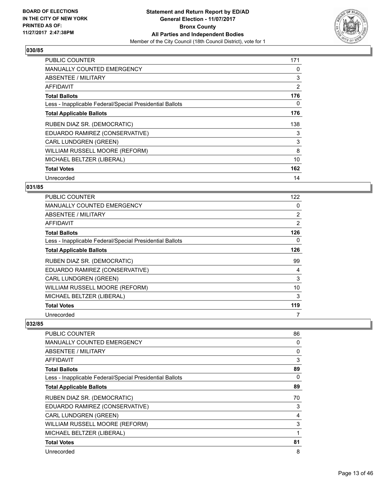

| <b>PUBLIC COUNTER</b>                                    | 171 |
|----------------------------------------------------------|-----|
| <b>MANUALLY COUNTED EMERGENCY</b>                        | 0   |
| ABSENTEE / MILITARY                                      | 3   |
| AFFIDAVIT                                                | 2   |
| <b>Total Ballots</b>                                     | 176 |
| Less - Inapplicable Federal/Special Presidential Ballots | 0   |
| <b>Total Applicable Ballots</b>                          | 176 |
| RUBEN DIAZ SR. (DEMOCRATIC)                              | 138 |
| EDUARDO RAMIREZ (CONSERVATIVE)                           | 3   |
| <b>CARL LUNDGREN (GREEN)</b>                             | 3   |
| WILLIAM RUSSELL MOORE (REFORM)                           | 8   |
| MICHAEL BELTZER (LIBERAL)                                | 10  |
| <b>Total Votes</b>                                       | 162 |
| Unrecorded                                               | 14  |

# **031/85**

| <b>PUBLIC COUNTER</b>                                    | 122            |
|----------------------------------------------------------|----------------|
| <b>MANUALLY COUNTED EMERGENCY</b>                        | 0              |
| ABSENTEE / MILITARY                                      | $\overline{2}$ |
| AFFIDAVIT                                                | 2              |
| <b>Total Ballots</b>                                     | 126            |
| Less - Inapplicable Federal/Special Presidential Ballots | 0              |
| <b>Total Applicable Ballots</b>                          | 126            |
| RUBEN DIAZ SR. (DEMOCRATIC)                              | 99             |
| EDUARDO RAMIREZ (CONSERVATIVE)                           | 4              |
| <b>CARL LUNDGREN (GREEN)</b>                             | 3              |
| WILLIAM RUSSELL MOORE (REFORM)                           | 10             |
| MICHAEL BELTZER (LIBERAL)                                | 3              |
| <b>Total Votes</b>                                       | 119            |
| Unrecorded                                               | 7              |

| <b>PUBLIC COUNTER</b>                                    | 86 |
|----------------------------------------------------------|----|
| <b>MANUALLY COUNTED EMERGENCY</b>                        | 0  |
| <b>ABSENTEE / MILITARY</b>                               | 0  |
| AFFIDAVIT                                                | 3  |
| <b>Total Ballots</b>                                     | 89 |
| Less - Inapplicable Federal/Special Presidential Ballots | 0  |
| <b>Total Applicable Ballots</b>                          | 89 |
| RUBEN DIAZ SR. (DEMOCRATIC)                              | 70 |
| EDUARDO RAMIREZ (CONSERVATIVE)                           | 3  |
| <b>CARL LUNDGREN (GREEN)</b>                             | 4  |
| WILLIAM RUSSELL MOORE (REFORM)                           | 3  |
| MICHAEL BELTZER (LIBERAL)                                | 1  |
| <b>Total Votes</b>                                       | 81 |
| Unrecorded                                               | 8  |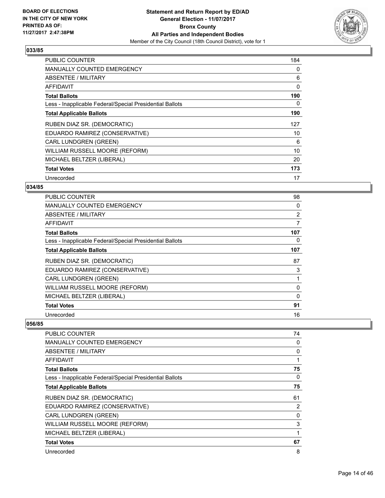

| <b>PUBLIC COUNTER</b>                                    | 184 |
|----------------------------------------------------------|-----|
| <b>MANUALLY COUNTED EMERGENCY</b>                        | 0   |
| ABSENTEE / MILITARY                                      | 6   |
| AFFIDAVIT                                                | 0   |
| <b>Total Ballots</b>                                     | 190 |
| Less - Inapplicable Federal/Special Presidential Ballots | 0   |
| <b>Total Applicable Ballots</b>                          | 190 |
| RUBEN DIAZ SR. (DEMOCRATIC)                              | 127 |
| EDUARDO RAMIREZ (CONSERVATIVE)                           | 10  |
| <b>CARL LUNDGREN (GREEN)</b>                             | 6   |
| WILLIAM RUSSELL MOORE (REFORM)                           | 10  |
| MICHAEL BELTZER (LIBERAL)                                | 20  |
| <b>Total Votes</b>                                       | 173 |
| Unrecorded                                               | 17  |

# **034/85**

| <b>PUBLIC COUNTER</b>                                    | 98             |
|----------------------------------------------------------|----------------|
| <b>MANUALLY COUNTED EMERGENCY</b>                        | 0              |
| <b>ABSENTEE / MILITARY</b>                               | $\overline{2}$ |
| AFFIDAVIT                                                | 7              |
| <b>Total Ballots</b>                                     | 107            |
| Less - Inapplicable Federal/Special Presidential Ballots | 0              |
| <b>Total Applicable Ballots</b>                          | 107            |
| RUBEN DIAZ SR. (DEMOCRATIC)                              | 87             |
| EDUARDO RAMIREZ (CONSERVATIVE)                           | 3              |
| <b>CARL LUNDGREN (GREEN)</b>                             |                |
| WILLIAM RUSSELL MOORE (REFORM)                           | 0              |
| MICHAEL BELTZER (LIBERAL)                                | 0              |
| <b>Total Votes</b>                                       | 91             |
| Unrecorded                                               | 16             |

| <b>PUBLIC COUNTER</b>                                    | 74 |
|----------------------------------------------------------|----|
| <b>MANUALLY COUNTED EMERGENCY</b>                        | 0  |
| ABSENTEE / MILITARY                                      | 0  |
| AFFIDAVIT                                                | 1  |
| <b>Total Ballots</b>                                     | 75 |
| Less - Inapplicable Federal/Special Presidential Ballots | 0  |
| <b>Total Applicable Ballots</b>                          | 75 |
| RUBEN DIAZ SR. (DEMOCRATIC)                              | 61 |
| EDUARDO RAMIREZ (CONSERVATIVE)                           | 2  |
| <b>CARL LUNDGREN (GREEN)</b>                             | 0  |
| WILLIAM RUSSELL MOORE (REFORM)                           | 3  |
| MICHAEL BELTZER (LIBERAL)                                | 1  |
| <b>Total Votes</b>                                       | 67 |
| Unrecorded                                               | 8  |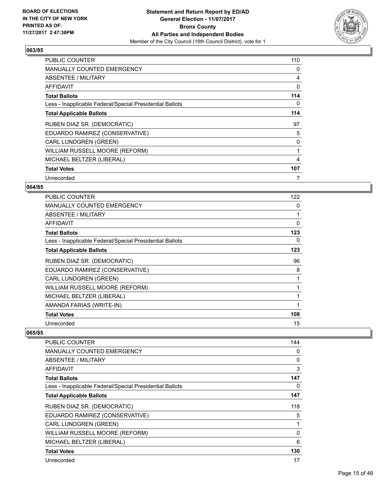

| <b>PUBLIC COUNTER</b>                                    | 110 |
|----------------------------------------------------------|-----|
| <b>MANUALLY COUNTED EMERGENCY</b>                        | 0   |
| <b>ABSENTEE / MILITARY</b>                               | 4   |
| AFFIDAVIT                                                | 0   |
| <b>Total Ballots</b>                                     | 114 |
| Less - Inapplicable Federal/Special Presidential Ballots | 0   |
| <b>Total Applicable Ballots</b>                          | 114 |
| RUBEN DIAZ SR. (DEMOCRATIC)                              | 97  |
| EDUARDO RAMIREZ (CONSERVATIVE)                           | 5   |
| <b>CARL LUNDGREN (GREEN)</b>                             | 0   |
| WILLIAM RUSSELL MOORE (REFORM)                           | 1   |
| MICHAEL BELTZER (LIBERAL)                                | 4   |
| <b>Total Votes</b>                                       | 107 |
|                                                          |     |

# **064/85**

| <b>PUBLIC COUNTER</b>                                    | 122 |
|----------------------------------------------------------|-----|
| <b>MANUALLY COUNTED EMERGENCY</b>                        | 0   |
| ABSENTEE / MILITARY                                      |     |
| AFFIDAVIT                                                | 0   |
| <b>Total Ballots</b>                                     | 123 |
| Less - Inapplicable Federal/Special Presidential Ballots | 0   |
| <b>Total Applicable Ballots</b>                          | 123 |
| RUBEN DIAZ SR. (DEMOCRATIC)                              | 96  |
| EDUARDO RAMIREZ (CONSERVATIVE)                           | 8   |
| <b>CARL LUNDGREN (GREEN)</b>                             |     |
| WILLIAM RUSSELL MOORE (REFORM)                           |     |
| MICHAEL BELTZER (LIBERAL)                                |     |
| AMANDA FARIAS (WRITE-IN)                                 |     |
| <b>Total Votes</b>                                       | 108 |
| Unrecorded                                               | 15  |

| PUBLIC COUNTER                                           | 144          |
|----------------------------------------------------------|--------------|
| MANUALLY COUNTED EMERGENCY                               | 0            |
| ABSENTEE / MILITARY                                      | 0            |
| <b>AFFIDAVIT</b>                                         | 3            |
| <b>Total Ballots</b>                                     | 147          |
| Less - Inapplicable Federal/Special Presidential Ballots | 0            |
| <b>Total Applicable Ballots</b>                          | 147          |
| RUBEN DIAZ SR. (DEMOCRATIC)                              | 118          |
| EDUARDO RAMIREZ (CONSERVATIVE)                           | 5            |
| <b>CARL LUNDGREN (GREEN)</b>                             | 1            |
| WILLIAM RUSSELL MOORE (REFORM)                           | $\mathbf{0}$ |
| MICHAEL BELTZER (LIBERAL)                                | 6            |
| <b>Total Votes</b>                                       | 130          |
| Unrecorded                                               | 17           |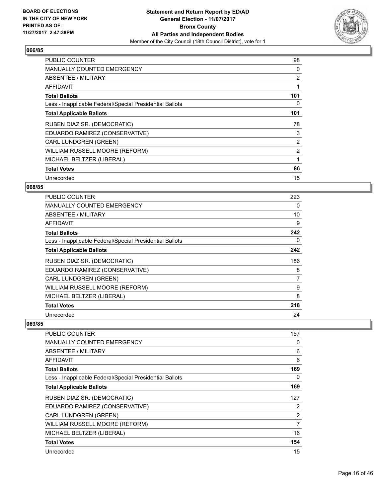

| <b>PUBLIC COUNTER</b>                                    | 98             |
|----------------------------------------------------------|----------------|
| <b>MANUALLY COUNTED EMERGENCY</b>                        | 0              |
| ABSENTEE / MILITARY                                      | 2              |
| <b>AFFIDAVIT</b>                                         |                |
| <b>Total Ballots</b>                                     | 101            |
| Less - Inapplicable Federal/Special Presidential Ballots | 0              |
| <b>Total Applicable Ballots</b>                          | 101            |
| RUBEN DIAZ SR. (DEMOCRATIC)                              | 78             |
| EDUARDO RAMIREZ (CONSERVATIVE)                           | 3              |
| <b>CARL LUNDGREN (GREEN)</b>                             | $\overline{2}$ |
| WILLIAM RUSSELL MOORE (REFORM)                           | 2              |
| MICHAEL BELTZER (LIBERAL)                                |                |
| <b>Total Votes</b>                                       | 86             |
| Unrecorded                                               | 15             |

# **068/85**

| <b>PUBLIC COUNTER</b>                                    | 223 |
|----------------------------------------------------------|-----|
| <b>MANUALLY COUNTED EMERGENCY</b>                        | 0   |
| <b>ABSENTEE / MILITARY</b>                               | 10  |
| AFFIDAVIT                                                | 9   |
| <b>Total Ballots</b>                                     | 242 |
| Less - Inapplicable Federal/Special Presidential Ballots | 0   |
| <b>Total Applicable Ballots</b>                          | 242 |
| RUBEN DIAZ SR. (DEMOCRATIC)                              | 186 |
| EDUARDO RAMIREZ (CONSERVATIVE)                           | 8   |
| <b>CARL LUNDGREN (GREEN)</b>                             | 7   |
| WILLIAM RUSSELL MOORE (REFORM)                           | 9   |
| MICHAEL BELTZER (LIBERAL)                                | 8   |
| <b>Total Votes</b>                                       | 218 |
| Unrecorded                                               | 24  |

| <b>PUBLIC COUNTER</b>                                    | 157            |
|----------------------------------------------------------|----------------|
| MANUALLY COUNTED EMERGENCY                               | 0              |
| <b>ABSENTEE / MILITARY</b>                               | 6              |
| <b>AFFIDAVIT</b>                                         | 6              |
| <b>Total Ballots</b>                                     | 169            |
| Less - Inapplicable Federal/Special Presidential Ballots | 0              |
| <b>Total Applicable Ballots</b>                          | 169            |
| RUBEN DIAZ SR. (DEMOCRATIC)                              | 127            |
| EDUARDO RAMIREZ (CONSERVATIVE)                           | 2              |
| <b>CARL LUNDGREN (GREEN)</b>                             | $\overline{2}$ |
| WILLIAM RUSSELL MOORE (REFORM)                           | 7              |
| MICHAEL BELTZER (LIBERAL)                                | 16             |
| <b>Total Votes</b>                                       | 154            |
| Unrecorded                                               | 15             |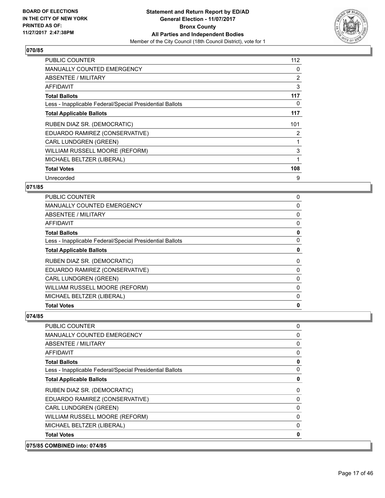

| <b>PUBLIC COUNTER</b>                                    | 112 |
|----------------------------------------------------------|-----|
| <b>MANUALLY COUNTED EMERGENCY</b>                        | 0   |
| ABSENTEE / MILITARY                                      | 2   |
| <b>AFFIDAVIT</b>                                         | 3   |
| <b>Total Ballots</b>                                     | 117 |
| Less - Inapplicable Federal/Special Presidential Ballots | 0   |
| <b>Total Applicable Ballots</b>                          | 117 |
| RUBEN DIAZ SR. (DEMOCRATIC)                              | 101 |
| EDUARDO RAMIREZ (CONSERVATIVE)                           | 2   |
| <b>CARL LUNDGREN (GREEN)</b>                             |     |
|                                                          |     |
| WILLIAM RUSSELL MOORE (REFORM)                           | 3   |
| MICHAEL BELTZER (LIBERAL)                                |     |
| <b>Total Votes</b>                                       | 108 |

# **071/85**

| <b>Total Votes</b>                                       | 0 |
|----------------------------------------------------------|---|
| MICHAEL BELTZER (LIBERAL)                                | 0 |
| WILLIAM RUSSELL MOORE (REFORM)                           | 0 |
| <b>CARL LUNDGREN (GREEN)</b>                             | 0 |
| EDUARDO RAMIREZ (CONSERVATIVE)                           | 0 |
| RUBEN DIAZ SR. (DEMOCRATIC)                              | 0 |
| <b>Total Applicable Ballots</b>                          | 0 |
| Less - Inapplicable Federal/Special Presidential Ballots | 0 |
| <b>Total Ballots</b>                                     | 0 |
| AFFIDAVIT                                                | 0 |
| ABSENTEE / MILITARY                                      | 0 |
| MANUALLY COUNTED EMERGENCY                               | 0 |
| PUBLIC COUNTER                                           | 0 |

# **074/85**

**075/85 COMBINED into: 074/85**

| <b>COMBINED into: 074/85</b>                             |              |
|----------------------------------------------------------|--------------|
| <b>Total Votes</b>                                       | $\mathbf{0}$ |
| MICHAEL BELTZER (LIBERAL)                                | 0            |
| WILLIAM RUSSELL MOORE (REFORM)                           | 0            |
| <b>CARL LUNDGREN (GREEN)</b>                             | 0            |
| EDUARDO RAMIREZ (CONSERVATIVE)                           | 0            |
| RUBEN DIAZ SR. (DEMOCRATIC)                              | 0            |
| <b>Total Applicable Ballots</b>                          | 0            |
| Less - Inapplicable Federal/Special Presidential Ballots | 0            |
| <b>Total Ballots</b>                                     | 0            |
| AFFIDAVIT                                                | 0            |
| ABSENTEE / MILITARY                                      | 0            |
| MANUALLY COUNTED EMERGENCY                               | 0            |
| <b>PUBLIC COUNTER</b>                                    | 0            |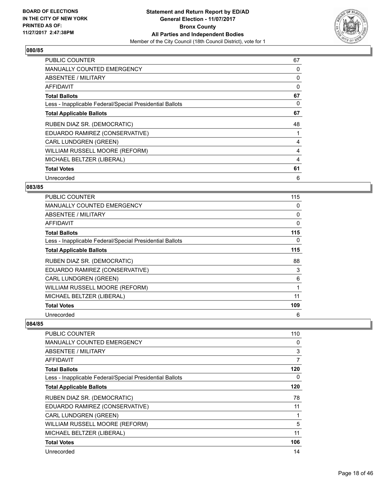

| <b>PUBLIC COUNTER</b>                                    | 67 |
|----------------------------------------------------------|----|
| <b>MANUALLY COUNTED EMERGENCY</b>                        | 0  |
| <b>ABSENTEE / MILITARY</b>                               | 0  |
| AFFIDAVIT                                                | 0  |
| <b>Total Ballots</b>                                     | 67 |
| Less - Inapplicable Federal/Special Presidential Ballots | 0  |
| <b>Total Applicable Ballots</b>                          | 67 |
| RUBEN DIAZ SR. (DEMOCRATIC)                              | 48 |
| EDUARDO RAMIREZ (CONSERVATIVE)                           |    |
| <b>CARL LUNDGREN (GREEN)</b>                             | 4  |
| WILLIAM RUSSELL MOORE (REFORM)                           | 4  |
| MICHAEL BELTZER (LIBERAL)                                | 4  |
| <b>Total Votes</b>                                       | 61 |
| Unrecorded                                               | 6  |

# **083/85**

| <b>PUBLIC COUNTER</b>                                    | 115          |
|----------------------------------------------------------|--------------|
| <b>MANUALLY COUNTED EMERGENCY</b>                        | 0            |
| ABSENTEE / MILITARY                                      | 0            |
| AFFIDAVIT                                                | $\mathbf{0}$ |
| <b>Total Ballots</b>                                     | 115          |
| Less - Inapplicable Federal/Special Presidential Ballots | 0            |
| <b>Total Applicable Ballots</b>                          | 115          |
| RUBEN DIAZ SR. (DEMOCRATIC)                              | 88           |
| EDUARDO RAMIREZ (CONSERVATIVE)                           | 3            |
| CARL LUNDGREN (GREEN)                                    | 6            |
| WILLIAM RUSSELL MOORE (REFORM)                           | 1            |
| MICHAEL BELTZER (LIBERAL)                                | 11           |
| <b>Total Votes</b>                                       | 109          |
| Unrecorded                                               | 6            |

| <b>PUBLIC COUNTER</b>                                    | 110 |
|----------------------------------------------------------|-----|
| <b>MANUALLY COUNTED EMERGENCY</b>                        | 0   |
| ABSENTEE / MILITARY                                      | 3   |
| AFFIDAVIT                                                | 7   |
| <b>Total Ballots</b>                                     | 120 |
| Less - Inapplicable Federal/Special Presidential Ballots | 0   |
| <b>Total Applicable Ballots</b>                          | 120 |
| RUBEN DIAZ SR. (DEMOCRATIC)                              | 78  |
| EDUARDO RAMIREZ (CONSERVATIVE)                           | 11  |
| <b>CARL LUNDGREN (GREEN)</b>                             | 1   |
| WILLIAM RUSSELL MOORE (REFORM)                           | 5   |
| MICHAEL BELTZER (LIBERAL)                                | 11  |
| <b>Total Votes</b>                                       | 106 |
| Unrecorded                                               | 14  |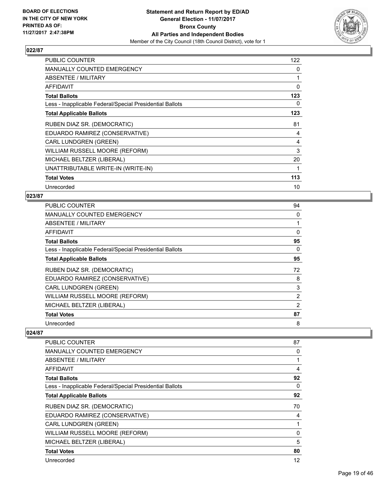

| <b>PUBLIC COUNTER</b>                                    | 122 |
|----------------------------------------------------------|-----|
| MANUALLY COUNTED EMERGENCY                               | 0   |
| ABSENTEE / MILITARY                                      |     |
| <b>AFFIDAVIT</b>                                         | 0   |
| <b>Total Ballots</b>                                     | 123 |
| Less - Inapplicable Federal/Special Presidential Ballots | 0   |
| <b>Total Applicable Ballots</b>                          | 123 |
| RUBEN DIAZ SR. (DEMOCRATIC)                              | 81  |
| EDUARDO RAMIREZ (CONSERVATIVE)                           | 4   |
| <b>CARL LUNDGREN (GREEN)</b>                             | 4   |
| WILLIAM RUSSELL MOORE (REFORM)                           | 3   |
| MICHAEL BELTZER (LIBERAL)                                | 20  |
| UNATTRIBUTABLE WRITE-IN (WRITE-IN)                       | 1   |
| <b>Total Votes</b>                                       | 113 |
| Unrecorded                                               | 10  |

# **023/87**

| <b>PUBLIC COUNTER</b>                                    | 94             |
|----------------------------------------------------------|----------------|
| <b>MANUALLY COUNTED EMERGENCY</b>                        | 0              |
| ABSENTEE / MILITARY                                      | 1              |
| AFFIDAVIT                                                | 0              |
| <b>Total Ballots</b>                                     | 95             |
| Less - Inapplicable Federal/Special Presidential Ballots | 0              |
| <b>Total Applicable Ballots</b>                          | 95             |
| RUBEN DIAZ SR. (DEMOCRATIC)                              | 72             |
| EDUARDO RAMIREZ (CONSERVATIVE)                           | 8              |
| <b>CARL LUNDGREN (GREEN)</b>                             | 3              |
| WILLIAM RUSSELL MOORE (REFORM)                           | $\overline{2}$ |
| MICHAEL BELTZER (LIBERAL)                                | 2              |
| <b>Total Votes</b>                                       | 87             |
| Unrecorded                                               | 8              |

| PUBLIC COUNTER                                           | 87           |
|----------------------------------------------------------|--------------|
| <b>MANUALLY COUNTED EMERGENCY</b>                        | 0            |
| ABSENTEE / MILITARY                                      | 1            |
| AFFIDAVIT                                                | 4            |
| <b>Total Ballots</b>                                     | 92           |
| Less - Inapplicable Federal/Special Presidential Ballots | 0            |
| <b>Total Applicable Ballots</b>                          | 92           |
| RUBEN DIAZ SR. (DEMOCRATIC)                              | 70           |
| EDUARDO RAMIREZ (CONSERVATIVE)                           | 4            |
| <b>CARL LUNDGREN (GREEN)</b>                             | 1            |
| WILLIAM RUSSELL MOORE (REFORM)                           | $\mathbf{0}$ |
| MICHAEL BELTZER (LIBERAL)                                | 5            |
| <b>Total Votes</b>                                       | 80           |
| Unrecorded                                               | 12           |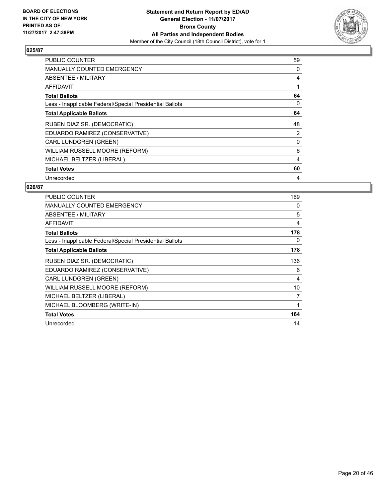

| <b>PUBLIC COUNTER</b>                                    | 59 |
|----------------------------------------------------------|----|
| <b>MANUALLY COUNTED EMERGENCY</b>                        | 0  |
| <b>ABSENTEE / MILITARY</b>                               | 4  |
| AFFIDAVIT                                                |    |
| <b>Total Ballots</b>                                     | 64 |
| Less - Inapplicable Federal/Special Presidential Ballots | 0  |
| <b>Total Applicable Ballots</b>                          | 64 |
| RUBEN DIAZ SR. (DEMOCRATIC)                              | 48 |
| EDUARDO RAMIREZ (CONSERVATIVE)                           | 2  |
| <b>CARL LUNDGREN (GREEN)</b>                             | 0  |
| WILLIAM RUSSELL MOORE (REFORM)                           | 6  |
| MICHAEL BELTZER (LIBERAL)                                | 4  |
| <b>Total Votes</b>                                       | 60 |
| Unrecorded                                               | 4  |

| <b>PUBLIC COUNTER</b>                                    | 169 |
|----------------------------------------------------------|-----|
| <b>MANUALLY COUNTED EMERGENCY</b>                        | 0   |
| ABSENTEE / MILITARY                                      | 5   |
| <b>AFFIDAVIT</b>                                         | 4   |
| <b>Total Ballots</b>                                     | 178 |
| Less - Inapplicable Federal/Special Presidential Ballots | 0   |
| <b>Total Applicable Ballots</b>                          | 178 |
| RUBEN DIAZ SR. (DEMOCRATIC)                              | 136 |
| EDUARDO RAMIREZ (CONSERVATIVE)                           | 6   |
| <b>CARL LUNDGREN (GREEN)</b>                             | 4   |
| WILLIAM RUSSELL MOORE (REFORM)                           | 10  |
| MICHAEL BELTZER (LIBERAL)                                | 7   |
| MICHAEL BLOOMBERG (WRITE-IN)                             | 1   |
| <b>Total Votes</b>                                       | 164 |
| Unrecorded                                               | 14  |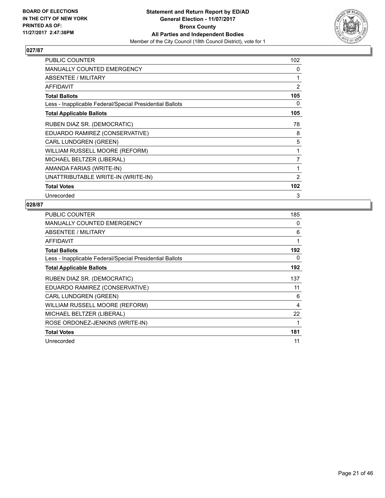

| <b>PUBLIC COUNTER</b>                                    | 102            |
|----------------------------------------------------------|----------------|
| MANUALLY COUNTED EMERGENCY                               | 0              |
| ABSENTEE / MILITARY                                      | 1              |
| <b>AFFIDAVIT</b>                                         | $\overline{2}$ |
| <b>Total Ballots</b>                                     | 105            |
| Less - Inapplicable Federal/Special Presidential Ballots | 0              |
| <b>Total Applicable Ballots</b>                          | 105            |
| RUBEN DIAZ SR. (DEMOCRATIC)                              | 78             |
| EDUARDO RAMIREZ (CONSERVATIVE)                           | 8              |
| CARL LUNDGREN (GREEN)                                    | 5              |
| WILLIAM RUSSELL MOORE (REFORM)                           | 1              |
| MICHAEL BELTZER (LIBERAL)                                | 7              |
| AMANDA FARIAS (WRITE-IN)                                 | 1              |
| UNATTRIBUTABLE WRITE-IN (WRITE-IN)                       | 2              |
| <b>Total Votes</b>                                       | 102            |
| Unrecorded                                               | 3              |

| <b>PUBLIC COUNTER</b>                                    | 185 |
|----------------------------------------------------------|-----|
| <b>MANUALLY COUNTED EMERGENCY</b>                        | 0   |
| ABSENTEE / MILITARY                                      | 6   |
| <b>AFFIDAVIT</b>                                         | 1   |
| <b>Total Ballots</b>                                     | 192 |
| Less - Inapplicable Federal/Special Presidential Ballots | 0   |
| <b>Total Applicable Ballots</b>                          | 192 |
| RUBEN DIAZ SR. (DEMOCRATIC)                              | 137 |
| EDUARDO RAMIREZ (CONSERVATIVE)                           | 11  |
| <b>CARL LUNDGREN (GREEN)</b>                             | 6   |
| WILLIAM RUSSELL MOORE (REFORM)                           | 4   |
| MICHAEL BELTZER (LIBERAL)                                | 22  |
| ROSE ORDONEZ-JENKINS (WRITE-IN)                          | 1   |
| <b>Total Votes</b>                                       | 181 |
| Unrecorded                                               | 11  |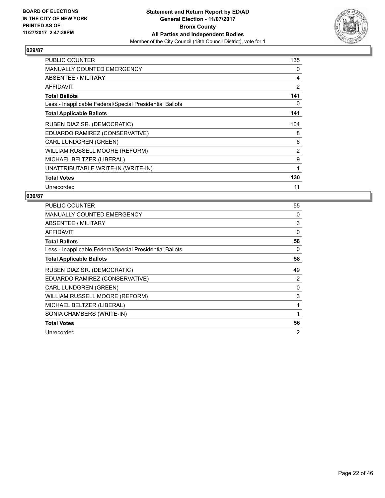

| <b>PUBLIC COUNTER</b>                                    | 135            |
|----------------------------------------------------------|----------------|
| <b>MANUALLY COUNTED EMERGENCY</b>                        | 0              |
| ABSENTEE / MILITARY                                      | 4              |
| <b>AFFIDAVIT</b>                                         | $\overline{2}$ |
| <b>Total Ballots</b>                                     | 141            |
| Less - Inapplicable Federal/Special Presidential Ballots | 0              |
| <b>Total Applicable Ballots</b>                          | 141            |
| RUBEN DIAZ SR. (DEMOCRATIC)                              | 104            |
| EDUARDO RAMIREZ (CONSERVATIVE)                           | 8              |
| <b>CARL LUNDGREN (GREEN)</b>                             | 6              |
| WILLIAM RUSSELL MOORE (REFORM)                           | 2              |
| MICHAEL BELTZER (LIBERAL)                                | 9              |
| UNATTRIBUTABLE WRITE-IN (WRITE-IN)                       | 1              |
| <b>Total Votes</b>                                       | 130            |
| Unrecorded                                               | 11             |

| <b>PUBLIC COUNTER</b>                                    | 55             |
|----------------------------------------------------------|----------------|
| <b>MANUALLY COUNTED EMERGENCY</b>                        | 0              |
| ABSENTEE / MILITARY                                      | 3              |
| <b>AFFIDAVIT</b>                                         | $\Omega$       |
| <b>Total Ballots</b>                                     | 58             |
| Less - Inapplicable Federal/Special Presidential Ballots | 0              |
| <b>Total Applicable Ballots</b>                          | 58             |
| RUBEN DIAZ SR. (DEMOCRATIC)                              | 49             |
| EDUARDO RAMIREZ (CONSERVATIVE)                           | $\overline{2}$ |
| <b>CARL LUNDGREN (GREEN)</b>                             | 0              |
| WILLIAM RUSSELL MOORE (REFORM)                           | 3              |
| MICHAEL BELTZER (LIBERAL)                                | 1              |
| SONIA CHAMBERS (WRITE-IN)                                | 1              |
| <b>Total Votes</b>                                       | 56             |
| Unrecorded                                               | $\overline{2}$ |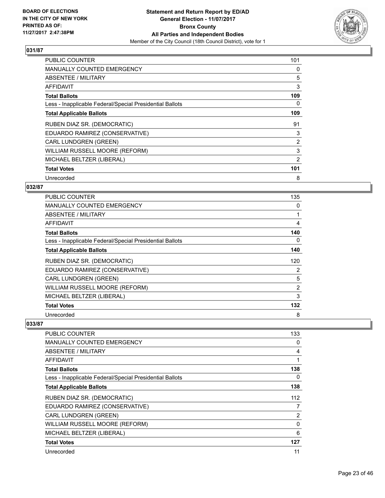

| <b>PUBLIC COUNTER</b>                                    | 101 |
|----------------------------------------------------------|-----|
| <b>MANUALLY COUNTED EMERGENCY</b>                        | 0   |
| <b>ABSENTEE / MILITARY</b>                               | 5   |
| <b>AFFIDAVIT</b>                                         | 3   |
| <b>Total Ballots</b>                                     | 109 |
| Less - Inapplicable Federal/Special Presidential Ballots | 0   |
| <b>Total Applicable Ballots</b>                          | 109 |
| RUBEN DIAZ SR. (DEMOCRATIC)                              | 91  |
| EDUARDO RAMIREZ (CONSERVATIVE)                           | 3   |
| CARL LUNDGREN (GREEN)                                    | 2   |
| WILLIAM RUSSELL MOORE (REFORM)                           | 3   |
| MICHAEL BELTZER (LIBERAL)                                | 2   |
| <b>Total Votes</b>                                       | 101 |
| Unrecorded                                               | 8   |

# **032/87**

| <b>PUBLIC COUNTER</b>                                    | 135            |
|----------------------------------------------------------|----------------|
| <b>MANUALLY COUNTED EMERGENCY</b>                        | 0              |
| ABSENTEE / MILITARY                                      |                |
| AFFIDAVIT                                                | 4              |
| <b>Total Ballots</b>                                     | 140            |
| Less - Inapplicable Federal/Special Presidential Ballots | 0              |
| <b>Total Applicable Ballots</b>                          | 140            |
| RUBEN DIAZ SR. (DEMOCRATIC)                              | 120            |
| EDUARDO RAMIREZ (CONSERVATIVE)                           | 2              |
| <b>CARL LUNDGREN (GREEN)</b>                             | 5              |
| WILLIAM RUSSELL MOORE (REFORM)                           | $\overline{2}$ |
| MICHAEL BELTZER (LIBERAL)                                | 3              |
| <b>Total Votes</b>                                       | 132            |
| Unrecorded                                               | 8              |

| <b>PUBLIC COUNTER</b>                                    | 133 |
|----------------------------------------------------------|-----|
| <b>MANUALLY COUNTED EMERGENCY</b>                        | 0   |
| <b>ABSENTEE / MILITARY</b>                               | 4   |
| <b>AFFIDAVIT</b>                                         |     |
| <b>Total Ballots</b>                                     | 138 |
| Less - Inapplicable Federal/Special Presidential Ballots | 0   |
| <b>Total Applicable Ballots</b>                          | 138 |
| RUBEN DIAZ SR. (DEMOCRATIC)                              | 112 |
| EDUARDO RAMIREZ (CONSERVATIVE)                           | 7   |
| <b>CARL LUNDGREN (GREEN)</b>                             | 2   |
| WILLIAM RUSSELL MOORE (REFORM)                           | 0   |
| MICHAEL BELTZER (LIBERAL)                                | 6   |
| <b>Total Votes</b>                                       | 127 |
| Unrecorded                                               | 11  |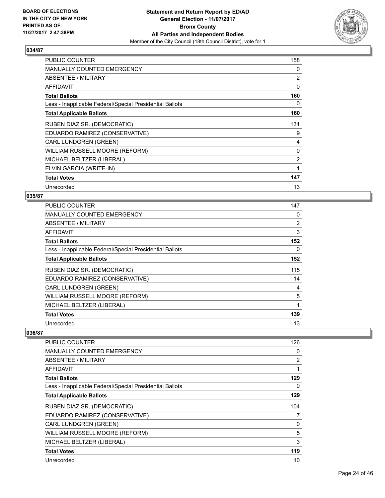

| <b>PUBLIC COUNTER</b>                                    | 158            |
|----------------------------------------------------------|----------------|
| <b>MANUALLY COUNTED EMERGENCY</b>                        | 0              |
| ABSENTEE / MILITARY                                      | 2              |
| AFFIDAVIT                                                | 0              |
| <b>Total Ballots</b>                                     | 160            |
| Less - Inapplicable Federal/Special Presidential Ballots | 0              |
| <b>Total Applicable Ballots</b>                          | 160            |
| RUBEN DIAZ SR. (DEMOCRATIC)                              | 131            |
| EDUARDO RAMIREZ (CONSERVATIVE)                           | 9              |
| CARL LUNDGREN (GREEN)                                    | 4              |
| WILLIAM RUSSELL MOORE (REFORM)                           | $\Omega$       |
| MICHAEL BELTZER (LIBERAL)                                | $\overline{2}$ |
| ELVIN GARCIA (WRITE-IN)                                  | 1              |
| <b>Total Votes</b>                                       | 147            |
| Unrecorded                                               | 13             |

#### **035/87**

| <b>PUBLIC COUNTER</b>                                    | 147 |
|----------------------------------------------------------|-----|
| MANUALLY COUNTED EMERGENCY                               | 0   |
| ABSENTEE / MILITARY                                      | 2   |
| AFFIDAVIT                                                | 3   |
| <b>Total Ballots</b>                                     | 152 |
| Less - Inapplicable Federal/Special Presidential Ballots | 0   |
| <b>Total Applicable Ballots</b>                          | 152 |
| RUBEN DIAZ SR. (DEMOCRATIC)                              | 115 |
| EDUARDO RAMIREZ (CONSERVATIVE)                           | 14  |
| <b>CARL LUNDGREN (GREEN)</b>                             | 4   |
| WILLIAM RUSSELL MOORE (REFORM)                           | 5   |
| MICHAEL BELTZER (LIBERAL)                                | 1   |
| <b>Total Votes</b>                                       | 139 |
| Unrecorded                                               | 13  |

| <b>PUBLIC COUNTER</b>                                    | 126            |
|----------------------------------------------------------|----------------|
| <b>MANUALLY COUNTED EMERGENCY</b>                        | 0              |
| ABSENTEE / MILITARY                                      | $\overline{2}$ |
| AFFIDAVIT                                                | 1              |
| <b>Total Ballots</b>                                     | 129            |
| Less - Inapplicable Federal/Special Presidential Ballots | 0              |
| <b>Total Applicable Ballots</b>                          | 129            |
| RUBEN DIAZ SR. (DEMOCRATIC)                              | 104            |
| EDUARDO RAMIREZ (CONSERVATIVE)                           | 7              |
| <b>CARL LUNDGREN (GREEN)</b>                             | 0              |
| WILLIAM RUSSELL MOORE (REFORM)                           | 5              |
| MICHAEL BELTZER (LIBERAL)                                | 3              |
| <b>Total Votes</b>                                       | 119            |
| Unrecorded                                               | 10             |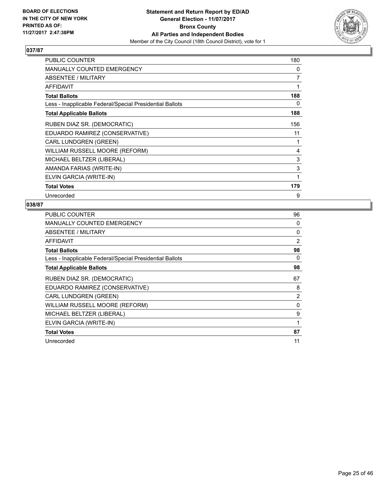

| PUBLIC COUNTER                                           | 180 |
|----------------------------------------------------------|-----|
| MANUALLY COUNTED EMERGENCY                               | 0   |
| ABSENTEE / MILITARY                                      | 7   |
| <b>AFFIDAVIT</b>                                         |     |
| <b>Total Ballots</b>                                     | 188 |
| Less - Inapplicable Federal/Special Presidential Ballots | 0   |
| <b>Total Applicable Ballots</b>                          | 188 |
| RUBEN DIAZ SR. (DEMOCRATIC)                              | 156 |
| EDUARDO RAMIREZ (CONSERVATIVE)                           | 11  |
| <b>CARL LUNDGREN (GREEN)</b>                             | 1   |
| WILLIAM RUSSELL MOORE (REFORM)                           | 4   |
| MICHAEL BELTZER (LIBERAL)                                | 3   |
| AMANDA FARIAS (WRITE-IN)                                 | 3   |
| ELVIN GARCIA (WRITE-IN)                                  |     |
| <b>Total Votes</b>                                       | 179 |
| Unrecorded                                               | 9   |

| <b>PUBLIC COUNTER</b>                                    | 96             |
|----------------------------------------------------------|----------------|
| <b>MANUALLY COUNTED EMERGENCY</b>                        | 0              |
| ABSENTEE / MILITARY                                      | 0              |
| <b>AFFIDAVIT</b>                                         | 2              |
| <b>Total Ballots</b>                                     | 98             |
| Less - Inapplicable Federal/Special Presidential Ballots | 0              |
| <b>Total Applicable Ballots</b>                          | 98             |
| RUBEN DIAZ SR. (DEMOCRATIC)                              | 67             |
| EDUARDO RAMIREZ (CONSERVATIVE)                           | 8              |
| <b>CARL LUNDGREN (GREEN)</b>                             | $\overline{2}$ |
| WILLIAM RUSSELL MOORE (REFORM)                           | 0              |
| MICHAEL BELTZER (LIBERAL)                                | 9              |
| ELVIN GARCIA (WRITE-IN)                                  | 1              |
| <b>Total Votes</b>                                       | 87             |
| Unrecorded                                               | 11             |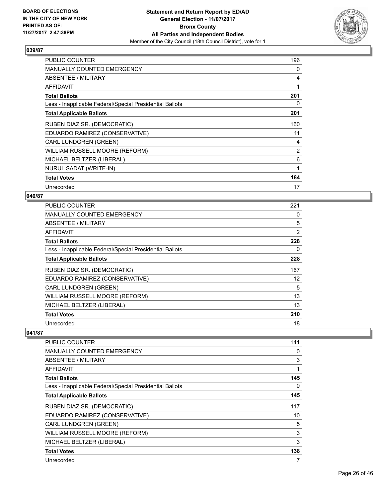

| <b>PUBLIC COUNTER</b>                                    | 196            |
|----------------------------------------------------------|----------------|
| <b>MANUALLY COUNTED EMERGENCY</b>                        | 0              |
| ABSENTEE / MILITARY                                      | 4              |
| AFFIDAVIT                                                | 1              |
| <b>Total Ballots</b>                                     | 201            |
| Less - Inapplicable Federal/Special Presidential Ballots | 0              |
| <b>Total Applicable Ballots</b>                          | 201            |
| RUBEN DIAZ SR. (DEMOCRATIC)                              | 160            |
| EDUARDO RAMIREZ (CONSERVATIVE)                           | 11             |
| CARL LUNDGREN (GREEN)                                    | 4              |
| WILLIAM RUSSELL MOORE (REFORM)                           | $\overline{2}$ |
| MICHAEL BELTZER (LIBERAL)                                | 6              |
| <b>NURUL SADAT (WRITE-IN)</b>                            | 1              |
| <b>Total Votes</b>                                       | 184            |
| Unrecorded                                               | 17             |

#### **040/87**

| <b>PUBLIC COUNTER</b>                                    | 221               |
|----------------------------------------------------------|-------------------|
| MANUALLY COUNTED EMERGENCY                               | 0                 |
| ABSENTEE / MILITARY                                      | 5                 |
| AFFIDAVIT                                                | 2                 |
| <b>Total Ballots</b>                                     | 228               |
| Less - Inapplicable Federal/Special Presidential Ballots | 0                 |
| <b>Total Applicable Ballots</b>                          | 228               |
| RUBEN DIAZ SR. (DEMOCRATIC)                              | 167               |
| EDUARDO RAMIREZ (CONSERVATIVE)                           | $12 \overline{ }$ |
| <b>CARL LUNDGREN (GREEN)</b>                             | 5                 |
| WILLIAM RUSSELL MOORE (REFORM)                           | 13                |
| MICHAEL BELTZER (LIBERAL)                                | 13                |
| <b>Total Votes</b>                                       | 210               |
| Unrecorded                                               | 18                |

| PUBLIC COUNTER                                           | 141 |
|----------------------------------------------------------|-----|
| <b>MANUALLY COUNTED EMERGENCY</b>                        | 0   |
| ABSENTEE / MILITARY                                      | 3   |
| AFFIDAVIT                                                | 1   |
| <b>Total Ballots</b>                                     | 145 |
| Less - Inapplicable Federal/Special Presidential Ballots | 0   |
| <b>Total Applicable Ballots</b>                          | 145 |
| RUBEN DIAZ SR. (DEMOCRATIC)                              | 117 |
| EDUARDO RAMIREZ (CONSERVATIVE)                           | 10  |
| <b>CARL LUNDGREN (GREEN)</b>                             | 5   |
| WILLIAM RUSSELL MOORE (REFORM)                           | 3   |
| MICHAEL BELTZER (LIBERAL)                                | 3   |
| <b>Total Votes</b>                                       | 138 |
| Unrecorded                                               | 7   |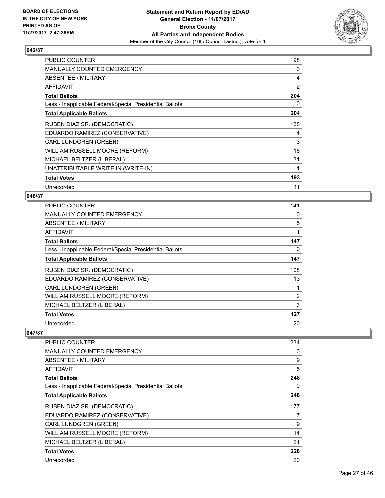

| <b>PUBLIC COUNTER</b>                                    | 198 |
|----------------------------------------------------------|-----|
| <b>MANUALLY COUNTED EMERGENCY</b>                        | 0   |
| ABSENTEE / MILITARY                                      | 4   |
| <b>AFFIDAVIT</b>                                         | 2   |
| <b>Total Ballots</b>                                     | 204 |
| Less - Inapplicable Federal/Special Presidential Ballots | 0   |
| <b>Total Applicable Ballots</b>                          | 204 |
| RUBEN DIAZ SR. (DEMOCRATIC)                              | 138 |
| EDUARDO RAMIREZ (CONSERVATIVE)                           | 4   |
| <b>CARL LUNDGREN (GREEN)</b>                             | 3   |
| WILLIAM RUSSELL MOORE (REFORM)                           | 16  |
| MICHAEL BELTZER (LIBERAL)                                | 31  |
| UNATTRIBUTABLE WRITE-IN (WRITE-IN)                       | 1   |
| <b>Total Votes</b>                                       | 193 |
| Unrecorded                                               | 11  |

#### **046/87**

| PUBLIC COUNTER                                           | 141            |
|----------------------------------------------------------|----------------|
| <b>MANUALLY COUNTED EMERGENCY</b>                        | 0              |
| ABSENTEE / MILITARY                                      | 5              |
| <b>AFFIDAVIT</b>                                         | 1              |
| <b>Total Ballots</b>                                     | 147            |
| Less - Inapplicable Federal/Special Presidential Ballots | 0              |
| <b>Total Applicable Ballots</b>                          | 147            |
| RUBEN DIAZ SR. (DEMOCRATIC)                              | 108            |
| EDUARDO RAMIREZ (CONSERVATIVE)                           | 13             |
| <b>CARL LUNDGREN (GREEN)</b>                             | 1              |
| WILLIAM RUSSELL MOORE (REFORM)                           | $\overline{2}$ |
| MICHAEL BELTZER (LIBERAL)                                | 3              |
| <b>Total Votes</b>                                       | 127            |
| Unrecorded                                               | 20             |

| PUBLIC COUNTER                                           | 234 |
|----------------------------------------------------------|-----|
| <b>MANUALLY COUNTED EMERGENCY</b>                        | 0   |
| ABSENTEE / MILITARY                                      | 9   |
| AFFIDAVIT                                                | 5   |
| <b>Total Ballots</b>                                     | 248 |
| Less - Inapplicable Federal/Special Presidential Ballots | 0   |
| <b>Total Applicable Ballots</b>                          | 248 |
| RUBEN DIAZ SR. (DEMOCRATIC)                              | 177 |
| EDUARDO RAMIREZ (CONSERVATIVE)                           | 7   |
| <b>CARL LUNDGREN (GREEN)</b>                             | 9   |
| WILLIAM RUSSELL MOORE (REFORM)                           | 14  |
| MICHAEL BELTZER (LIBERAL)                                | 21  |
| <b>Total Votes</b>                                       | 228 |
| Unrecorded                                               | 20  |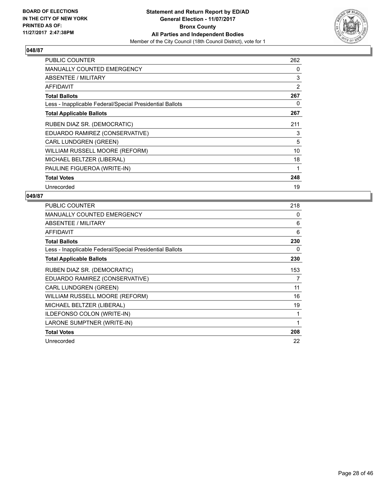

| <b>PUBLIC COUNTER</b>                                    | 262 |
|----------------------------------------------------------|-----|
| <b>MANUALLY COUNTED EMERGENCY</b>                        | 0   |
| ABSENTEE / MILITARY                                      | 3   |
| <b>AFFIDAVIT</b>                                         | 2   |
| <b>Total Ballots</b>                                     | 267 |
| Less - Inapplicable Federal/Special Presidential Ballots | 0   |
| <b>Total Applicable Ballots</b>                          | 267 |
| RUBEN DIAZ SR. (DEMOCRATIC)                              | 211 |
| EDUARDO RAMIREZ (CONSERVATIVE)                           | 3   |
| <b>CARL LUNDGREN (GREEN)</b>                             | 5   |
| WILLIAM RUSSELL MOORE (REFORM)                           | 10  |
| MICHAEL BELTZER (LIBERAL)                                | 18  |
| PAULINE FIGUEROA (WRITE-IN)                              | 1   |
| <b>Total Votes</b>                                       | 248 |
| Unrecorded                                               | 19  |

| <b>PUBLIC COUNTER</b>                                    | 218 |
|----------------------------------------------------------|-----|
| <b>MANUALLY COUNTED EMERGENCY</b>                        | 0   |
| ABSENTEE / MILITARY                                      | 6   |
| AFFIDAVIT                                                | 6   |
| <b>Total Ballots</b>                                     | 230 |
| Less - Inapplicable Federal/Special Presidential Ballots | 0   |
| <b>Total Applicable Ballots</b>                          | 230 |
| RUBEN DIAZ SR. (DEMOCRATIC)                              | 153 |
| EDUARDO RAMIREZ (CONSERVATIVE)                           | 7   |
| <b>CARL LUNDGREN (GREEN)</b>                             | 11  |
| WILLIAM RUSSELL MOORE (REFORM)                           | 16  |
| MICHAEL BELTZER (LIBERAL)                                | 19  |
| ILDEFONSO COLON (WRITE-IN)                               | 1   |
| LARONE SUMPTNER (WRITE-IN)                               | 1   |
| <b>Total Votes</b>                                       | 208 |
| Unrecorded                                               | 22  |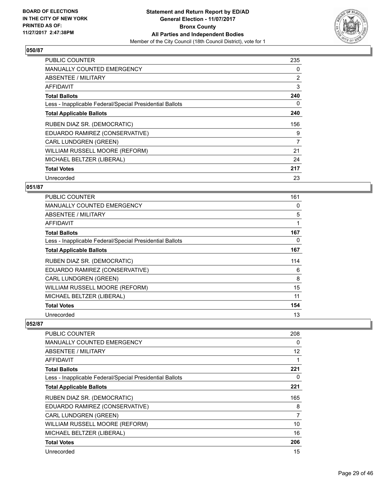

| <b>PUBLIC COUNTER</b>                                    | 235 |
|----------------------------------------------------------|-----|
| <b>MANUALLY COUNTED EMERGENCY</b>                        | 0   |
| <b>ABSENTEE / MILITARY</b>                               | 2   |
| AFFIDAVIT                                                | 3   |
| <b>Total Ballots</b>                                     | 240 |
| Less - Inapplicable Federal/Special Presidential Ballots | 0   |
| <b>Total Applicable Ballots</b>                          | 240 |
| RUBEN DIAZ SR. (DEMOCRATIC)                              | 156 |
| EDUARDO RAMIREZ (CONSERVATIVE)                           | 9   |
| CARL LUNDGREN (GREEN)                                    | 7   |
| WILLIAM RUSSELL MOORE (REFORM)                           | 21  |
| MICHAEL BELTZER (LIBERAL)                                | 24  |
| <b>Total Votes</b>                                       | 217 |
| Unrecorded                                               | 23  |

# **051/87**

| <b>PUBLIC COUNTER</b>                                    | 161 |
|----------------------------------------------------------|-----|
| <b>MANUALLY COUNTED EMERGENCY</b>                        | 0   |
| ABSENTEE / MILITARY                                      | 5   |
| AFFIDAVIT                                                | 1   |
| <b>Total Ballots</b>                                     | 167 |
| Less - Inapplicable Federal/Special Presidential Ballots | 0   |
| <b>Total Applicable Ballots</b>                          | 167 |
| RUBEN DIAZ SR. (DEMOCRATIC)                              | 114 |
| EDUARDO RAMIREZ (CONSERVATIVE)                           | 6   |
| <b>CARL LUNDGREN (GREEN)</b>                             | 8   |
| WILLIAM RUSSELL MOORE (REFORM)                           | 15  |
| MICHAEL BELTZER (LIBERAL)                                | 11  |
| <b>Total Votes</b>                                       | 154 |
| Unrecorded                                               | 13  |

| <b>PUBLIC COUNTER</b>                                    | 208 |
|----------------------------------------------------------|-----|
| <b>MANUALLY COUNTED EMERGENCY</b>                        | 0   |
| <b>ABSENTEE / MILITARY</b>                               | 12  |
| <b>AFFIDAVIT</b>                                         |     |
| <b>Total Ballots</b>                                     | 221 |
| Less - Inapplicable Federal/Special Presidential Ballots | 0   |
| <b>Total Applicable Ballots</b>                          | 221 |
| RUBEN DIAZ SR. (DEMOCRATIC)                              | 165 |
| EDUARDO RAMIREZ (CONSERVATIVE)                           | 8   |
| <b>CARL LUNDGREN (GREEN)</b>                             | 7   |
| WILLIAM RUSSELL MOORE (REFORM)                           | 10  |
| MICHAEL BELTZER (LIBERAL)                                | 16  |
| <b>Total Votes</b>                                       | 206 |
| Unrecorded                                               | 15  |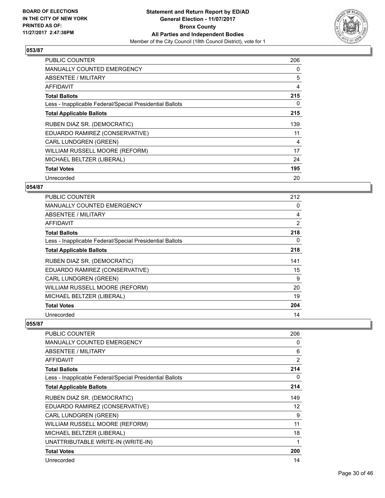

| <b>PUBLIC COUNTER</b>                                    | 206 |
|----------------------------------------------------------|-----|
| <b>MANUALLY COUNTED EMERGENCY</b>                        | 0   |
| <b>ABSENTEE / MILITARY</b>                               | 5   |
| <b>AFFIDAVIT</b>                                         | 4   |
| <b>Total Ballots</b>                                     | 215 |
| Less - Inapplicable Federal/Special Presidential Ballots | 0   |
| <b>Total Applicable Ballots</b>                          | 215 |
|                                                          |     |
| RUBEN DIAZ SR. (DEMOCRATIC)                              | 139 |
| EDUARDO RAMIREZ (CONSERVATIVE)                           | 11  |
| CARL LUNDGREN (GREEN)                                    | 4   |
| WILLIAM RUSSELL MOORE (REFORM)                           | 17  |
| MICHAEL BELTZER (LIBERAL)                                | 24  |
| <b>Total Votes</b>                                       | 195 |

# **054/87**

| <b>PUBLIC COUNTER</b>                                    | 212            |
|----------------------------------------------------------|----------------|
| <b>MANUALLY COUNTED EMERGENCY</b>                        | 0              |
| <b>ABSENTEE / MILITARY</b>                               | 4              |
| AFFIDAVIT                                                | $\overline{2}$ |
| <b>Total Ballots</b>                                     | 218            |
| Less - Inapplicable Federal/Special Presidential Ballots | 0              |
| <b>Total Applicable Ballots</b>                          | 218            |
| RUBEN DIAZ SR. (DEMOCRATIC)                              | 141            |
| EDUARDO RAMIREZ (CONSERVATIVE)                           | 15             |
| CARL LUNDGREN (GREEN)                                    | 9              |
| WILLIAM RUSSELL MOORE (REFORM)                           | 20             |
| MICHAEL BELTZER (LIBERAL)                                | 19             |
| <b>Total Votes</b>                                       | 204            |
| Unrecorded                                               | 14             |

| PUBLIC COUNTER                                           | 206            |
|----------------------------------------------------------|----------------|
| <b>MANUALLY COUNTED EMERGENCY</b>                        | 0              |
| <b>ABSENTEE / MILITARY</b>                               | 6              |
| <b>AFFIDAVIT</b>                                         | $\overline{2}$ |
| <b>Total Ballots</b>                                     | 214            |
| Less - Inapplicable Federal/Special Presidential Ballots | 0              |
| <b>Total Applicable Ballots</b>                          | 214            |
| RUBEN DIAZ SR. (DEMOCRATIC)                              | 149            |
| EDUARDO RAMIREZ (CONSERVATIVE)                           | 12             |
| <b>CARL LUNDGREN (GREEN)</b>                             | 9              |
| WILLIAM RUSSELL MOORE (REFORM)                           | 11             |
| MICHAEL BELTZER (LIBERAL)                                | 18             |
| UNATTRIBUTABLE WRITE-IN (WRITE-IN)                       | 1              |
| <b>Total Votes</b>                                       | 200            |
| Unrecorded                                               | 14             |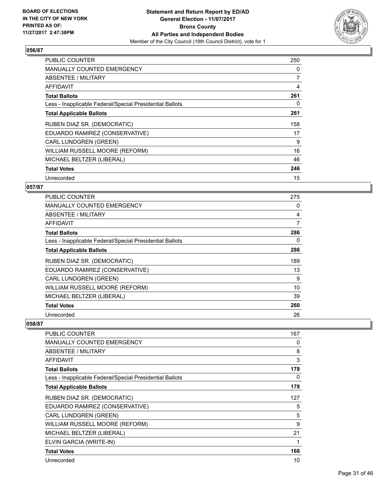

| <b>PUBLIC COUNTER</b>                                    | 250            |
|----------------------------------------------------------|----------------|
| <b>MANUALLY COUNTED EMERGENCY</b>                        | 0              |
| <b>ABSENTEE / MILITARY</b>                               | $\overline{7}$ |
| AFFIDAVIT                                                | 4              |
| <b>Total Ballots</b>                                     | 261            |
| Less - Inapplicable Federal/Special Presidential Ballots | 0              |
| <b>Total Applicable Ballots</b>                          | 261            |
| RUBEN DIAZ SR. (DEMOCRATIC)                              | 158            |
| EDUARDO RAMIREZ (CONSERVATIVE)                           | 17             |
| <b>CARL LUNDGREN (GREEN)</b>                             | 9              |
| WILLIAM RUSSELL MOORE (REFORM)                           | 16             |
| MICHAEL BELTZER (LIBERAL)                                | 46             |
| <b>Total Votes</b>                                       | 246            |
| Unrecorded                                               | 15             |

# **057/87**

| PUBLIC COUNTER                                           | 275 |
|----------------------------------------------------------|-----|
| <b>MANUALLY COUNTED EMERGENCY</b>                        | 0   |
| ABSENTEE / MILITARY                                      | 4   |
| AFFIDAVIT                                                | 7   |
| <b>Total Ballots</b>                                     | 286 |
| Less - Inapplicable Federal/Special Presidential Ballots | 0   |
| <b>Total Applicable Ballots</b>                          | 286 |
| RUBEN DIAZ SR. (DEMOCRATIC)                              | 189 |
| EDUARDO RAMIREZ (CONSERVATIVE)                           | 13  |
| CARL LUNDGREN (GREEN)                                    | 9   |
| WILLIAM RUSSELL MOORE (REFORM)                           | 10  |
| MICHAEL BELTZER (LIBERAL)                                | 39  |
| <b>Total Votes</b>                                       | 260 |
| Unrecorded                                               | 26  |

| PUBLIC COUNTER                                           | 167 |
|----------------------------------------------------------|-----|
| <b>MANUALLY COUNTED EMERGENCY</b>                        | 0   |
| <b>ABSENTEE / MILITARY</b>                               | 8   |
| AFFIDAVIT                                                | 3   |
| <b>Total Ballots</b>                                     | 178 |
| Less - Inapplicable Federal/Special Presidential Ballots | 0   |
| <b>Total Applicable Ballots</b>                          | 178 |
| RUBEN DIAZ SR. (DEMOCRATIC)                              | 127 |
| EDUARDO RAMIREZ (CONSERVATIVE)                           | 5   |
| <b>CARL LUNDGREN (GREEN)</b>                             | 5   |
| WILLIAM RUSSELL MOORE (REFORM)                           | 9   |
| MICHAEL BELTZER (LIBERAL)                                | 21  |
| ELVIN GARCIA (WRITE-IN)                                  | 1   |
| <b>Total Votes</b>                                       | 168 |
| Unrecorded                                               | 10  |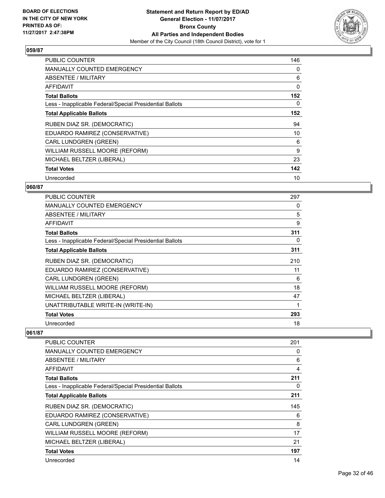

| <b>PUBLIC COUNTER</b>                                    | 146 |
|----------------------------------------------------------|-----|
| <b>MANUALLY COUNTED EMERGENCY</b>                        | 0   |
| <b>ABSENTEE / MILITARY</b>                               | 6   |
| AFFIDAVIT                                                | 0   |
| <b>Total Ballots</b>                                     | 152 |
| Less - Inapplicable Federal/Special Presidential Ballots | 0   |
| <b>Total Applicable Ballots</b>                          | 152 |
| RUBEN DIAZ SR. (DEMOCRATIC)                              | 94  |
| EDUARDO RAMIREZ (CONSERVATIVE)                           | 10  |
| CARL LUNDGREN (GREEN)                                    | 6   |
| WILLIAM RUSSELL MOORE (REFORM)                           | 9   |
| MICHAEL BELTZER (LIBERAL)                                | 23  |
| <b>Total Votes</b>                                       | 142 |
| Unrecorded                                               | 10  |

# **060/87**

| <b>PUBLIC COUNTER</b>                                    | 297 |
|----------------------------------------------------------|-----|
| <b>MANUALLY COUNTED EMERGENCY</b>                        | 0   |
| <b>ABSENTEE / MILITARY</b>                               | 5   |
| AFFIDAVIT                                                | 9   |
| <b>Total Ballots</b>                                     | 311 |
| Less - Inapplicable Federal/Special Presidential Ballots | 0   |
| <b>Total Applicable Ballots</b>                          | 311 |
| RUBEN DIAZ SR. (DEMOCRATIC)                              | 210 |
| EDUARDO RAMIREZ (CONSERVATIVE)                           | 11  |
| <b>CARL LUNDGREN (GREEN)</b>                             | 6   |
| WILLIAM RUSSELL MOORE (REFORM)                           | 18  |
| MICHAEL BELTZER (LIBERAL)                                | 47  |
| UNATTRIBUTABLE WRITE-IN (WRITE-IN)                       | 1   |
| <b>Total Votes</b>                                       | 293 |
| Unrecorded                                               | 18  |

| PUBLIC COUNTER                                           | 201 |
|----------------------------------------------------------|-----|
| <b>MANUALLY COUNTED EMERGENCY</b>                        | 0   |
| ABSENTEE / MILITARY                                      | 6   |
| AFFIDAVIT                                                | 4   |
| <b>Total Ballots</b>                                     | 211 |
| Less - Inapplicable Federal/Special Presidential Ballots | 0   |
| <b>Total Applicable Ballots</b>                          | 211 |
| RUBEN DIAZ SR. (DEMOCRATIC)                              | 145 |
| EDUARDO RAMIREZ (CONSERVATIVE)                           | 6   |
| <b>CARL LUNDGREN (GREEN)</b>                             | 8   |
| WILLIAM RUSSELL MOORE (REFORM)                           | 17  |
| MICHAEL BELTZER (LIBERAL)                                | 21  |
| <b>Total Votes</b>                                       | 197 |
| Unrecorded                                               | 14  |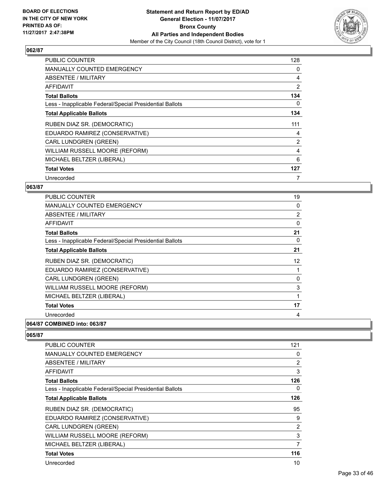

| <b>PUBLIC COUNTER</b>                                    | 128            |
|----------------------------------------------------------|----------------|
| <b>MANUALLY COUNTED EMERGENCY</b>                        | 0              |
| <b>ABSENTEE / MILITARY</b>                               | 4              |
| AFFIDAVIT                                                | 2              |
| <b>Total Ballots</b>                                     | 134            |
| Less - Inapplicable Federal/Special Presidential Ballots | 0              |
| <b>Total Applicable Ballots</b>                          | 134            |
| RUBEN DIAZ SR. (DEMOCRATIC)                              | 111            |
| EDUARDO RAMIREZ (CONSERVATIVE)                           | 4              |
| <b>CARL LUNDGREN (GREEN)</b>                             | $\overline{2}$ |
| WILLIAM RUSSELL MOORE (REFORM)                           | 4              |
| MICHAEL BELTZER (LIBERAL)                                | 6              |
|                                                          |                |
| <b>Total Votes</b>                                       | 127            |

#### **063/87**

| <b>PUBLIC COUNTER</b>                                    | 19             |
|----------------------------------------------------------|----------------|
| <b>MANUALLY COUNTED EMERGENCY</b>                        | 0              |
| ABSENTEE / MILITARY                                      | $\overline{2}$ |
| <b>AFFIDAVIT</b>                                         | 0              |
| <b>Total Ballots</b>                                     | 21             |
| Less - Inapplicable Federal/Special Presidential Ballots | 0              |
| <b>Total Applicable Ballots</b>                          | 21             |
| RUBEN DIAZ SR. (DEMOCRATIC)                              | 12             |
| EDUARDO RAMIREZ (CONSERVATIVE)                           |                |
| <b>CARL LUNDGREN (GREEN)</b>                             | 0              |
| WILLIAM RUSSELL MOORE (REFORM)                           | 3              |
| MICHAEL BELTZER (LIBERAL)                                |                |
| <b>Total Votes</b>                                       | 17             |
| Unrecorded                                               | 4              |
| 064/87 COMBINED into: 063/87                             |                |

| PUBLIC COUNTER                                           | 121            |
|----------------------------------------------------------|----------------|
| MANUALLY COUNTED EMERGENCY                               | 0              |
| ABSENTEE / MILITARY                                      | $\overline{2}$ |
| AFFIDAVIT                                                | 3              |
| <b>Total Ballots</b>                                     | 126            |
| Less - Inapplicable Federal/Special Presidential Ballots | 0              |
| <b>Total Applicable Ballots</b>                          | 126            |
| RUBEN DIAZ SR. (DEMOCRATIC)                              | 95             |
| EDUARDO RAMIREZ (CONSERVATIVE)                           | 9              |
| <b>CARL LUNDGREN (GREEN)</b>                             | $\overline{2}$ |
| WILLIAM RUSSELL MOORE (REFORM)                           | 3              |
| MICHAEL BELTZER (LIBERAL)                                | 7              |
| <b>Total Votes</b>                                       | 116            |
| Unrecorded                                               | 10             |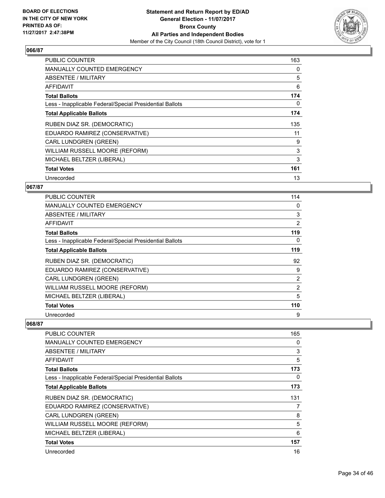

| <b>PUBLIC COUNTER</b>                                    | 163 |
|----------------------------------------------------------|-----|
| <b>MANUALLY COUNTED EMERGENCY</b>                        | 0   |
| <b>ABSENTEE / MILITARY</b>                               | 5   |
| AFFIDAVIT                                                | 6   |
| <b>Total Ballots</b>                                     | 174 |
| Less - Inapplicable Federal/Special Presidential Ballots | 0   |
| <b>Total Applicable Ballots</b>                          | 174 |
| RUBEN DIAZ SR. (DEMOCRATIC)                              | 135 |
| EDUARDO RAMIREZ (CONSERVATIVE)                           | 11  |
| CARL LUNDGREN (GREEN)                                    | 9   |
| WILLIAM RUSSELL MOORE (REFORM)                           | 3   |
| MICHAEL BELTZER (LIBERAL)                                | 3   |
| <b>Total Votes</b>                                       | 161 |
| Unrecorded                                               | 13  |

# **067/87**

| <b>PUBLIC COUNTER</b>                                    | 114            |
|----------------------------------------------------------|----------------|
| <b>MANUALLY COUNTED EMERGENCY</b>                        | 0              |
| ABSENTEE / MILITARY                                      | 3              |
| AFFIDAVIT                                                | 2              |
| <b>Total Ballots</b>                                     | 119            |
| Less - Inapplicable Federal/Special Presidential Ballots | 0              |
| <b>Total Applicable Ballots</b>                          | 119            |
| RUBEN DIAZ SR. (DEMOCRATIC)                              | 92             |
| EDUARDO RAMIREZ (CONSERVATIVE)                           | 9              |
| <b>CARL LUNDGREN (GREEN)</b>                             | 2              |
| WILLIAM RUSSELL MOORE (REFORM)                           | $\overline{2}$ |
| MICHAEL BELTZER (LIBERAL)                                | 5              |
| <b>Total Votes</b>                                       | 110            |
| Unrecorded                                               | 9              |

| <b>PUBLIC COUNTER</b>                                    | 165 |
|----------------------------------------------------------|-----|
| <b>MANUALLY COUNTED EMERGENCY</b>                        | 0   |
| <b>ABSENTEE / MILITARY</b>                               | 3   |
| <b>AFFIDAVIT</b>                                         | 5   |
| <b>Total Ballots</b>                                     | 173 |
| Less - Inapplicable Federal/Special Presidential Ballots | 0   |
| <b>Total Applicable Ballots</b>                          | 173 |
| RUBEN DIAZ SR. (DEMOCRATIC)                              | 131 |
| EDUARDO RAMIREZ (CONSERVATIVE)                           | 7   |
| <b>CARL LUNDGREN (GREEN)</b>                             | 8   |
| WILLIAM RUSSELL MOORE (REFORM)                           | 5   |
| MICHAEL BELTZER (LIBERAL)                                | 6   |
| <b>Total Votes</b>                                       | 157 |
| Unrecorded                                               | 16  |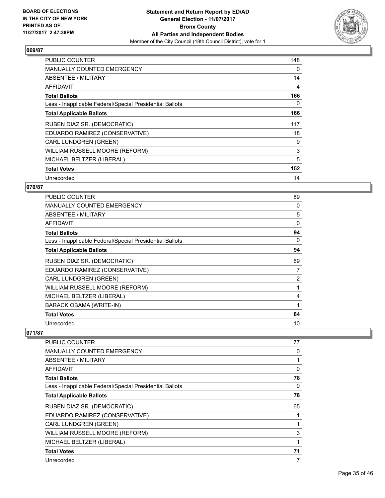

| <b>PUBLIC COUNTER</b>                                    | 148 |
|----------------------------------------------------------|-----|
| <b>MANUALLY COUNTED EMERGENCY</b>                        | 0   |
| <b>ABSENTEE / MILITARY</b>                               | 14  |
| AFFIDAVIT                                                | 4   |
| <b>Total Ballots</b>                                     | 166 |
| Less - Inapplicable Federal/Special Presidential Ballots | 0   |
| <b>Total Applicable Ballots</b>                          | 166 |
| RUBEN DIAZ SR. (DEMOCRATIC)                              | 117 |
| EDUARDO RAMIREZ (CONSERVATIVE)                           | 18  |
| CARL LUNDGREN (GREEN)                                    | 9   |
| WILLIAM RUSSELL MOORE (REFORM)                           | 3   |
| MICHAEL BELTZER (LIBERAL)                                | 5   |
| <b>Total Votes</b>                                       | 152 |
| Unrecorded                                               | 14  |

# **070/87**

| <b>PUBLIC COUNTER</b>                                    | 89 |
|----------------------------------------------------------|----|
| <b>MANUALLY COUNTED EMERGENCY</b>                        | 0  |
| ABSENTEE / MILITARY                                      | 5  |
| AFFIDAVIT                                                | 0  |
| <b>Total Ballots</b>                                     | 94 |
| Less - Inapplicable Federal/Special Presidential Ballots | 0  |
| <b>Total Applicable Ballots</b>                          | 94 |
| RUBEN DIAZ SR. (DEMOCRATIC)                              | 69 |
| EDUARDO RAMIREZ (CONSERVATIVE)                           | 7  |
| <b>CARL LUNDGREN (GREEN)</b>                             | 2  |
| WILLIAM RUSSELL MOORE (REFORM)                           | 1  |
| MICHAEL BELTZER (LIBERAL)                                | 4  |
| <b>BARACK OBAMA (WRITE-IN)</b>                           | 1  |
| <b>Total Votes</b>                                       | 84 |
| Unrecorded                                               | 10 |

| PUBLIC COUNTER                                           | 77 |
|----------------------------------------------------------|----|
| <b>MANUALLY COUNTED EMERGENCY</b>                        | 0  |
| ABSENTEE / MILITARY                                      | 1  |
| AFFIDAVIT                                                | 0  |
| <b>Total Ballots</b>                                     | 78 |
| Less - Inapplicable Federal/Special Presidential Ballots | 0  |
| <b>Total Applicable Ballots</b>                          | 78 |
| RUBEN DIAZ SR. (DEMOCRATIC)                              | 65 |
| EDUARDO RAMIREZ (CONSERVATIVE)                           | 1  |
| <b>CARL LUNDGREN (GREEN)</b>                             | 1  |
| WILLIAM RUSSELL MOORE (REFORM)                           | 3  |
| MICHAEL BELTZER (LIBERAL)                                | 1  |
| <b>Total Votes</b>                                       | 71 |
| Unrecorded                                               | 7  |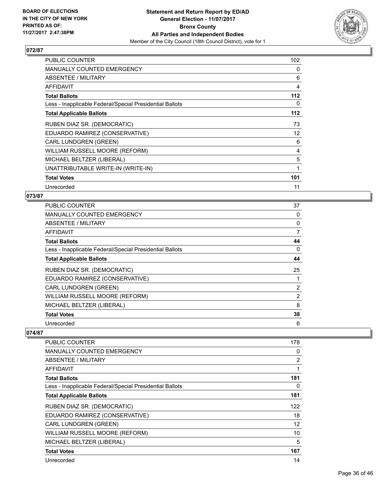

| <b>PUBLIC COUNTER</b>                                    | 102 |
|----------------------------------------------------------|-----|
| MANUALLY COUNTED EMERGENCY                               | 0   |
| ABSENTEE / MILITARY                                      | 6   |
| <b>AFFIDAVIT</b>                                         | 4   |
| <b>Total Ballots</b>                                     | 112 |
| Less - Inapplicable Federal/Special Presidential Ballots | 0   |
| <b>Total Applicable Ballots</b>                          | 112 |
| RUBEN DIAZ SR. (DEMOCRATIC)                              | 73  |
| EDUARDO RAMIREZ (CONSERVATIVE)                           | 12  |
| <b>CARL LUNDGREN (GREEN)</b>                             | 6   |
| WILLIAM RUSSELL MOORE (REFORM)                           | 4   |
| MICHAEL BELTZER (LIBERAL)                                | 5   |
| UNATTRIBUTABLE WRITE-IN (WRITE-IN)                       | 1   |
| <b>Total Votes</b>                                       | 101 |
| Unrecorded                                               | 11  |

# **073/87**

| PUBLIC COUNTER                                           | 37             |
|----------------------------------------------------------|----------------|
| <b>MANUALLY COUNTED EMERGENCY</b>                        | 0              |
| <b>ABSENTEE / MILITARY</b>                               | 0              |
| <b>AFFIDAVIT</b>                                         | $\overline{7}$ |
| <b>Total Ballots</b>                                     | 44             |
| Less - Inapplicable Federal/Special Presidential Ballots | 0              |
| <b>Total Applicable Ballots</b>                          | 44             |
| RUBEN DIAZ SR. (DEMOCRATIC)                              | 25             |
| EDUARDO RAMIREZ (CONSERVATIVE)                           |                |
| <b>CARL LUNDGREN (GREEN)</b>                             | $\overline{2}$ |
| WILLIAM RUSSELL MOORE (REFORM)                           | $\overline{2}$ |
| MICHAEL BELTZER (LIBERAL)                                | 8              |
| <b>Total Votes</b>                                       | 38             |
| Unrecorded                                               | 6              |

| <b>PUBLIC COUNTER</b>                                    | 178            |
|----------------------------------------------------------|----------------|
| MANUALLY COUNTED EMERGENCY                               | 0              |
| ABSENTEE / MILITARY                                      | $\overline{2}$ |
| AFFIDAVIT                                                | 1              |
| <b>Total Ballots</b>                                     | 181            |
| Less - Inapplicable Federal/Special Presidential Ballots | 0              |
| <b>Total Applicable Ballots</b>                          | 181            |
| RUBEN DIAZ SR. (DEMOCRATIC)                              | 122            |
| EDUARDO RAMIREZ (CONSERVATIVE)                           | 18             |
| <b>CARL LUNDGREN (GREEN)</b>                             | 12             |
| WILLIAM RUSSELL MOORE (REFORM)                           | 10             |
| MICHAEL BELTZER (LIBERAL)                                | 5              |
| <b>Total Votes</b>                                       | 167            |
| Unrecorded                                               | 14             |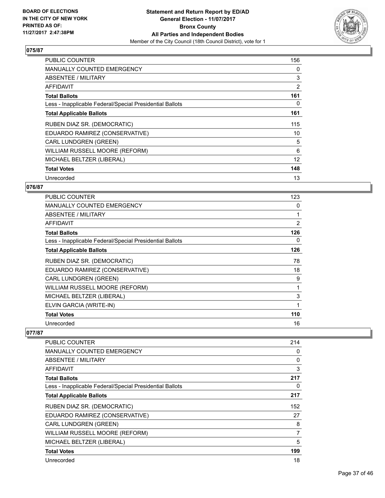

| <b>PUBLIC COUNTER</b>                                    | 156            |
|----------------------------------------------------------|----------------|
| <b>MANUALLY COUNTED EMERGENCY</b>                        | 0              |
| <b>ABSENTEE / MILITARY</b>                               | 3              |
| AFFIDAVIT                                                | $\overline{2}$ |
| <b>Total Ballots</b>                                     | 161            |
| Less - Inapplicable Federal/Special Presidential Ballots | 0              |
| <b>Total Applicable Ballots</b>                          | 161            |
| RUBEN DIAZ SR. (DEMOCRATIC)                              | 115            |
| EDUARDO RAMIREZ (CONSERVATIVE)                           | 10             |
| CARL LUNDGREN (GREEN)                                    | 5              |
| WILLIAM RUSSELL MOORE (REFORM)                           | 6              |
| MICHAEL BELTZER (LIBERAL)                                | 12             |
| <b>Total Votes</b>                                       | 148            |
| Unrecorded                                               | 13             |

# **076/87**

| <b>PUBLIC COUNTER</b>                                    | 123 |
|----------------------------------------------------------|-----|
| <b>MANUALLY COUNTED EMERGENCY</b>                        | 0   |
| ABSENTEE / MILITARY                                      | 1   |
| AFFIDAVIT                                                | 2   |
| <b>Total Ballots</b>                                     | 126 |
| Less - Inapplicable Federal/Special Presidential Ballots | 0   |
| <b>Total Applicable Ballots</b>                          | 126 |
| RUBEN DIAZ SR. (DEMOCRATIC)                              | 78  |
| EDUARDO RAMIREZ (CONSERVATIVE)                           | 18  |
| CARL LUNDGREN (GREEN)                                    | 9   |
| WILLIAM RUSSELL MOORE (REFORM)                           |     |
| MICHAEL BELTZER (LIBERAL)                                | 3   |
| ELVIN GARCIA (WRITE-IN)                                  | 1   |
| <b>Total Votes</b>                                       | 110 |
| Unrecorded                                               | 16  |

| PUBLIC COUNTER                                           | 214 |
|----------------------------------------------------------|-----|
| <b>MANUALLY COUNTED EMERGENCY</b>                        | 0   |
| ABSENTEE / MILITARY                                      | 0   |
| AFFIDAVIT                                                | 3   |
| <b>Total Ballots</b>                                     | 217 |
| Less - Inapplicable Federal/Special Presidential Ballots | 0   |
| <b>Total Applicable Ballots</b>                          | 217 |
| RUBEN DIAZ SR. (DEMOCRATIC)                              | 152 |
| EDUARDO RAMIREZ (CONSERVATIVE)                           | 27  |
| <b>CARL LUNDGREN (GREEN)</b>                             | 8   |
| WILLIAM RUSSELL MOORE (REFORM)                           | 7   |
| MICHAEL BELTZER (LIBERAL)                                | 5   |
| <b>Total Votes</b>                                       | 199 |
| Unrecorded                                               | 18  |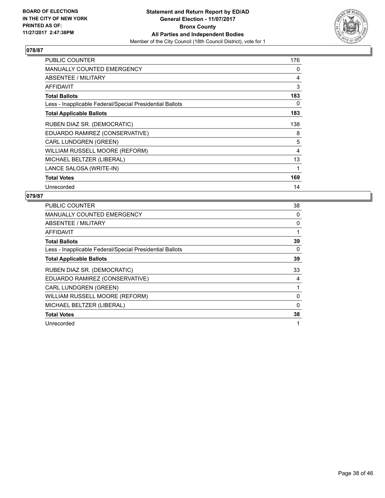

| <b>PUBLIC COUNTER</b>                                    | 176 |
|----------------------------------------------------------|-----|
| <b>MANUALLY COUNTED EMERGENCY</b>                        | 0   |
| ABSENTEE / MILITARY                                      | 4   |
| AFFIDAVIT                                                | 3   |
| <b>Total Ballots</b>                                     | 183 |
| Less - Inapplicable Federal/Special Presidential Ballots | 0   |
| <b>Total Applicable Ballots</b>                          | 183 |
| RUBEN DIAZ SR. (DEMOCRATIC)                              | 138 |
| EDUARDO RAMIREZ (CONSERVATIVE)                           | 8   |
| CARL LUNDGREN (GREEN)                                    | 5   |
| WILLIAM RUSSELL MOORE (REFORM)                           | 4   |
| MICHAEL BELTZER (LIBERAL)                                | 13  |
| LANCE SALOSA (WRITE-IN)                                  | 1   |
| <b>Total Votes</b>                                       | 169 |
| Unrecorded                                               | 14  |

| <b>PUBLIC COUNTER</b>                                    | 38 |
|----------------------------------------------------------|----|
| <b>MANUALLY COUNTED EMERGENCY</b>                        | 0  |
| ABSENTEE / MILITARY                                      | 0  |
| AFFIDAVIT                                                |    |
| <b>Total Ballots</b>                                     | 39 |
| Less - Inapplicable Federal/Special Presidential Ballots | 0  |
| <b>Total Applicable Ballots</b>                          | 39 |
| RUBEN DIAZ SR. (DEMOCRATIC)                              | 33 |
| EDUARDO RAMIREZ (CONSERVATIVE)                           | 4  |
| <b>CARL LUNDGREN (GREEN)</b>                             |    |
| WILLIAM RUSSELL MOORE (REFORM)                           | 0  |
| MICHAEL BELTZER (LIBERAL)                                | 0  |
| <b>Total Votes</b>                                       | 38 |
| Unrecorded                                               | 1  |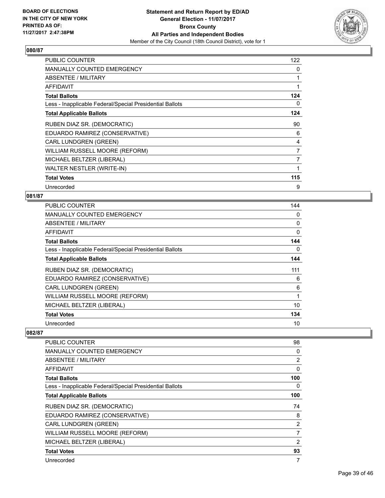

| <b>PUBLIC COUNTER</b>                                    | 122            |
|----------------------------------------------------------|----------------|
| <b>MANUALLY COUNTED EMERGENCY</b>                        | 0              |
| ABSENTEE / MILITARY                                      |                |
| <b>AFFIDAVIT</b>                                         | 1              |
| <b>Total Ballots</b>                                     | 124            |
| Less - Inapplicable Federal/Special Presidential Ballots | 0              |
| <b>Total Applicable Ballots</b>                          | 124            |
| RUBEN DIAZ SR. (DEMOCRATIC)                              | 90             |
| EDUARDO RAMIREZ (CONSERVATIVE)                           | 6              |
| <b>CARL LUNDGREN (GREEN)</b>                             | 4              |
| WILLIAM RUSSELL MOORE (REFORM)                           | $\overline{7}$ |
| MICHAEL BELTZER (LIBERAL)                                | 7              |
| <b>WALTER NESTLER (WRITE-IN)</b>                         | 1              |
| <b>Total Votes</b>                                       | 115            |
| Unrecorded                                               | 9              |

# **081/87**

| <b>PUBLIC COUNTER</b>                                    | 144 |
|----------------------------------------------------------|-----|
| <b>MANUALLY COUNTED EMERGENCY</b>                        | 0   |
| ABSENTEE / MILITARY                                      | 0   |
| AFFIDAVIT                                                | 0   |
| <b>Total Ballots</b>                                     | 144 |
| Less - Inapplicable Federal/Special Presidential Ballots | 0   |
| <b>Total Applicable Ballots</b>                          | 144 |
| RUBEN DIAZ SR. (DEMOCRATIC)                              | 111 |
| EDUARDO RAMIREZ (CONSERVATIVE)                           | 6   |
| <b>CARL LUNDGREN (GREEN)</b>                             | 6   |
| WILLIAM RUSSELL MOORE (REFORM)                           | 1   |
| MICHAEL BELTZER (LIBERAL)                                | 10  |
| <b>Total Votes</b>                                       | 134 |
| Unrecorded                                               | 10  |

| PUBLIC COUNTER                                           | 98             |
|----------------------------------------------------------|----------------|
| <b>MANUALLY COUNTED EMERGENCY</b>                        | 0              |
| ABSENTEE / MILITARY                                      | 2              |
| AFFIDAVIT                                                | 0              |
| <b>Total Ballots</b>                                     | 100            |
| Less - Inapplicable Federal/Special Presidential Ballots | 0              |
| <b>Total Applicable Ballots</b>                          | 100            |
| RUBEN DIAZ SR. (DEMOCRATIC)                              | 74             |
| EDUARDO RAMIREZ (CONSERVATIVE)                           | 8              |
| <b>CARL LUNDGREN (GREEN)</b>                             | $\overline{2}$ |
| WILLIAM RUSSELL MOORE (REFORM)                           | 7              |
| MICHAEL BELTZER (LIBERAL)                                | 2              |
| <b>Total Votes</b>                                       | 93             |
| Unrecorded                                               | 7              |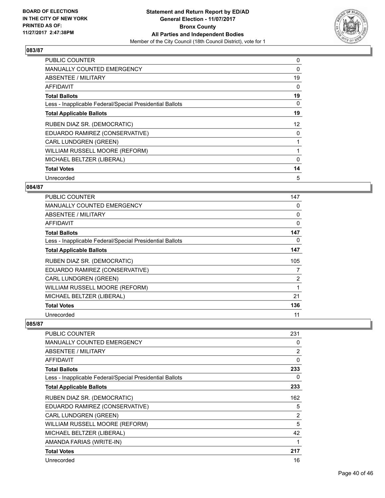

| <b>PUBLIC COUNTER</b>                                    | 0  |
|----------------------------------------------------------|----|
| <b>MANUALLY COUNTED EMERGENCY</b>                        | 0  |
| <b>ABSENTEE / MILITARY</b>                               | 19 |
| <b>AFFIDAVIT</b>                                         | 0  |
| <b>Total Ballots</b>                                     | 19 |
| Less - Inapplicable Federal/Special Presidential Ballots | 0  |
| <b>Total Applicable Ballots</b>                          | 19 |
| RUBEN DIAZ SR. (DEMOCRATIC)                              | 12 |
| EDUARDO RAMIREZ (CONSERVATIVE)                           | 0  |
| <b>CARL LUNDGREN (GREEN)</b>                             |    |
| WILLIAM RUSSELL MOORE (REFORM)                           |    |
| MICHAEL BELTZER (LIBERAL)                                | 0  |
| <b>Total Votes</b>                                       | 14 |
| Unrecorded                                               | 5  |

# **084/87**

| <b>PUBLIC COUNTER</b>                                    | 147         |
|----------------------------------------------------------|-------------|
| <b>MANUALLY COUNTED EMERGENCY</b>                        | 0           |
| ABSENTEE / MILITARY                                      | 0           |
| AFFIDAVIT                                                | $\mathbf 0$ |
| <b>Total Ballots</b>                                     | 147         |
| Less - Inapplicable Federal/Special Presidential Ballots | 0           |
| <b>Total Applicable Ballots</b>                          | 147         |
| RUBEN DIAZ SR. (DEMOCRATIC)                              | 105         |
| EDUARDO RAMIREZ (CONSERVATIVE)                           | 7           |
| <b>CARL LUNDGREN (GREEN)</b>                             | 2           |
| WILLIAM RUSSELL MOORE (REFORM)                           |             |
| MICHAEL BELTZER (LIBERAL)                                | 21          |
| <b>Total Votes</b>                                       | 136         |
| Unrecorded                                               | 11          |

| PUBLIC COUNTER                                           | 231 |
|----------------------------------------------------------|-----|
| <b>MANUALLY COUNTED EMERGENCY</b>                        | 0   |
| <b>ABSENTEE / MILITARY</b>                               | 2   |
| AFFIDAVIT                                                | 0   |
| <b>Total Ballots</b>                                     | 233 |
| Less - Inapplicable Federal/Special Presidential Ballots | 0   |
| <b>Total Applicable Ballots</b>                          | 233 |
| RUBEN DIAZ SR. (DEMOCRATIC)                              | 162 |
| EDUARDO RAMIREZ (CONSERVATIVE)                           | 5   |
| <b>CARL LUNDGREN (GREEN)</b>                             | 2   |
| WILLIAM RUSSELL MOORE (REFORM)                           | 5   |
| MICHAEL BELTZER (LIBERAL)                                | 42  |
| AMANDA FARIAS (WRITE-IN)                                 | 1   |
| <b>Total Votes</b>                                       | 217 |
| Unrecorded                                               | 16  |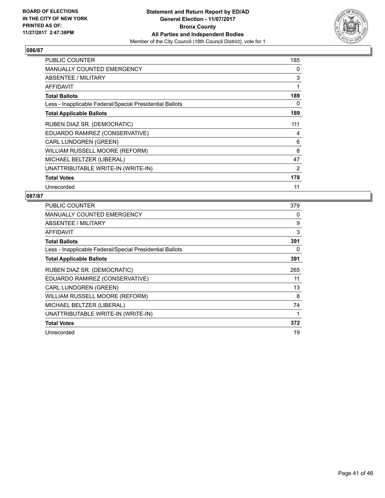

| <b>PUBLIC COUNTER</b>                                    | 185 |
|----------------------------------------------------------|-----|
| <b>MANUALLY COUNTED EMERGENCY</b>                        | 0   |
| ABSENTEE / MILITARY                                      | 3   |
| AFFIDAVIT                                                | 1   |
| <b>Total Ballots</b>                                     | 189 |
| Less - Inapplicable Federal/Special Presidential Ballots | 0   |
| <b>Total Applicable Ballots</b>                          | 189 |
| RUBEN DIAZ SR. (DEMOCRATIC)                              | 111 |
| EDUARDO RAMIREZ (CONSERVATIVE)                           | 4   |
| CARL LUNDGREN (GREEN)                                    | 6   |
| WILLIAM RUSSELL MOORE (REFORM)                           | 8   |
| MICHAEL BELTZER (LIBERAL)                                | 47  |
| UNATTRIBUTABLE WRITE-IN (WRITE-IN)                       | 2   |
| <b>Total Votes</b>                                       | 178 |
| Unrecorded                                               | 11  |

| <b>PUBLIC COUNTER</b>                                    | 379 |
|----------------------------------------------------------|-----|
| <b>MANUALLY COUNTED EMERGENCY</b>                        | 0   |
| ABSENTEE / MILITARY                                      | 9   |
| <b>AFFIDAVIT</b>                                         | 3   |
| <b>Total Ballots</b>                                     | 391 |
| Less - Inapplicable Federal/Special Presidential Ballots | 0   |
| <b>Total Applicable Ballots</b>                          | 391 |
| RUBEN DIAZ SR. (DEMOCRATIC)                              | 265 |
| EDUARDO RAMIREZ (CONSERVATIVE)                           | 11  |
| <b>CARL LUNDGREN (GREEN)</b>                             | 13  |
| WILLIAM RUSSELL MOORE (REFORM)                           | 8   |
| MICHAEL BELTZER (LIBERAL)                                | 74  |
| UNATTRIBUTABLE WRITE-IN (WRITE-IN)                       | 1   |
| <b>Total Votes</b>                                       | 372 |
| Unrecorded                                               | 19  |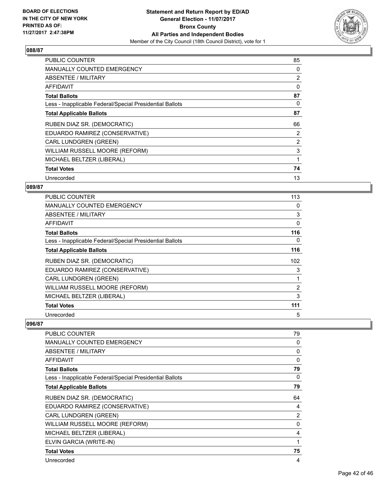

| <b>PUBLIC COUNTER</b>                                    | 85             |
|----------------------------------------------------------|----------------|
| <b>MANUALLY COUNTED EMERGENCY</b>                        | 0              |
| <b>ABSENTEE / MILITARY</b>                               | 2              |
| AFFIDAVIT                                                | 0              |
| <b>Total Ballots</b>                                     | 87             |
| Less - Inapplicable Federal/Special Presidential Ballots | 0              |
| <b>Total Applicable Ballots</b>                          | 87             |
| RUBEN DIAZ SR. (DEMOCRATIC)                              | 66             |
| EDUARDO RAMIREZ (CONSERVATIVE)                           | $\overline{2}$ |
| <b>CARL LUNDGREN (GREEN)</b>                             | 2              |
| WILLIAM RUSSELL MOORE (REFORM)                           | 3              |
| MICHAEL BELTZER (LIBERAL)                                |                |
| <b>Total Votes</b>                                       | 74             |
| Unrecorded                                               | 13             |

# **089/87**

| <b>PUBLIC COUNTER</b>                                    | 113            |
|----------------------------------------------------------|----------------|
| <b>MANUALLY COUNTED EMERGENCY</b>                        | 0              |
| ABSENTEE / MILITARY                                      | 3              |
| AFFIDAVIT                                                | $\Omega$       |
| <b>Total Ballots</b>                                     | 116            |
| Less - Inapplicable Federal/Special Presidential Ballots | 0              |
| <b>Total Applicable Ballots</b>                          | 116            |
| RUBEN DIAZ SR. (DEMOCRATIC)                              | 102            |
| EDUARDO RAMIREZ (CONSERVATIVE)                           | 3              |
| <b>CARL LUNDGREN (GREEN)</b>                             |                |
| WILLIAM RUSSELL MOORE (REFORM)                           | $\overline{2}$ |
| MICHAEL BELTZER (LIBERAL)                                | 3              |
| <b>Total Votes</b>                                       | 111            |
| Unrecorded                                               | 5              |

| PUBLIC COUNTER                                           | 79 |
|----------------------------------------------------------|----|
|                                                          |    |
| MANUALLY COUNTED EMERGENCY                               | 0  |
| ABSENTEE / MILITARY                                      | 0  |
| <b>AFFIDAVIT</b>                                         | 0  |
| <b>Total Ballots</b>                                     | 79 |
| Less - Inapplicable Federal/Special Presidential Ballots | 0  |
| <b>Total Applicable Ballots</b>                          | 79 |
| RUBEN DIAZ SR. (DEMOCRATIC)                              | 64 |
| EDUARDO RAMIREZ (CONSERVATIVE)                           | 4  |
| <b>CARL LUNDGREN (GREEN)</b>                             | 2  |
| WILLIAM RUSSELL MOORE (REFORM)                           | 0  |
| MICHAEL BELTZER (LIBERAL)                                | 4  |
| ELVIN GARCIA (WRITE-IN)                                  | 1  |
| <b>Total Votes</b>                                       | 75 |
| Unrecorded                                               | 4  |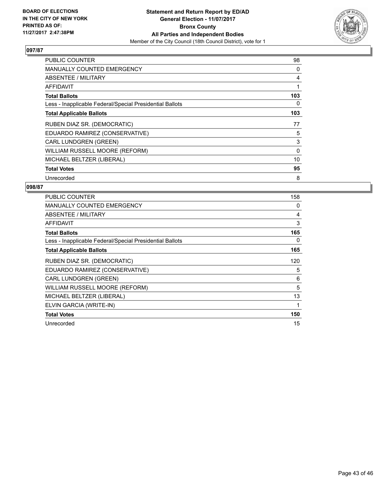

| <b>PUBLIC COUNTER</b>                                    | 98  |
|----------------------------------------------------------|-----|
| <b>MANUALLY COUNTED EMERGENCY</b>                        | 0   |
| <b>ABSENTEE / MILITARY</b>                               | 4   |
| AFFIDAVIT                                                |     |
| <b>Total Ballots</b>                                     | 103 |
| Less - Inapplicable Federal/Special Presidential Ballots | 0   |
| <b>Total Applicable Ballots</b>                          | 103 |
|                                                          |     |
| RUBEN DIAZ SR. (DEMOCRATIC)                              | 77  |
| EDUARDO RAMIREZ (CONSERVATIVE)                           | 5   |
| <b>CARL LUNDGREN (GREEN)</b>                             | 3   |
| WILLIAM RUSSELL MOORE (REFORM)                           | 0   |
| MICHAEL BELTZER (LIBERAL)                                | 10  |
| <b>Total Votes</b>                                       | 95  |

| <b>PUBLIC COUNTER</b>                                    | 158 |
|----------------------------------------------------------|-----|
| <b>MANUALLY COUNTED EMERGENCY</b>                        | 0   |
| ABSENTEE / MILITARY                                      | 4   |
| <b>AFFIDAVIT</b>                                         | 3   |
| <b>Total Ballots</b>                                     | 165 |
| Less - Inapplicable Federal/Special Presidential Ballots | 0   |
| <b>Total Applicable Ballots</b>                          | 165 |
| RUBEN DIAZ SR. (DEMOCRATIC)                              | 120 |
| EDUARDO RAMIREZ (CONSERVATIVE)                           | 5   |
| <b>CARL LUNDGREN (GREEN)</b>                             | 6   |
| WILLIAM RUSSELL MOORE (REFORM)                           | 5   |
| MICHAEL BELTZER (LIBERAL)                                | 13  |
| ELVIN GARCIA (WRITE-IN)                                  | 1   |
| <b>Total Votes</b>                                       | 150 |
| Unrecorded                                               | 15  |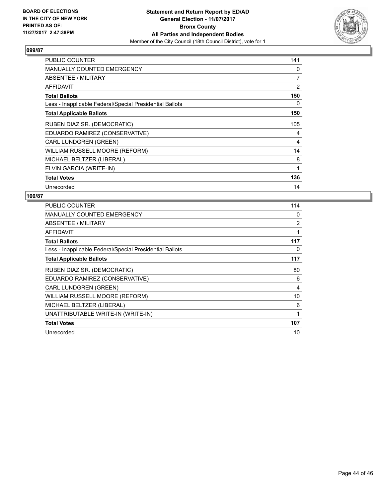

| PUBLIC COUNTER                                           | 141            |
|----------------------------------------------------------|----------------|
| MANUALLY COUNTED EMERGENCY                               | 0              |
| <b>ABSENTEE / MILITARY</b>                               | $\overline{7}$ |
| <b>AFFIDAVIT</b>                                         | 2              |
| <b>Total Ballots</b>                                     | 150            |
| Less - Inapplicable Federal/Special Presidential Ballots | 0              |
| <b>Total Applicable Ballots</b>                          | 150            |
| RUBEN DIAZ SR. (DEMOCRATIC)                              | 105            |
| EDUARDO RAMIREZ (CONSERVATIVE)                           | 4              |
| <b>CARL LUNDGREN (GREEN)</b>                             | 4              |
| WILLIAM RUSSELL MOORE (REFORM)                           | 14             |
| MICHAEL BELTZER (LIBERAL)                                | 8              |
| ELVIN GARCIA (WRITE-IN)                                  | 1              |
| <b>Total Votes</b>                                       | 136            |
| Unrecorded                                               | 14             |

| <b>PUBLIC COUNTER</b>                                    | 114 |
|----------------------------------------------------------|-----|
| <b>MANUALLY COUNTED EMERGENCY</b>                        | 0   |
| ABSENTEE / MILITARY                                      | 2   |
| AFFIDAVIT                                                | 1   |
| <b>Total Ballots</b>                                     | 117 |
| Less - Inapplicable Federal/Special Presidential Ballots | 0   |
| <b>Total Applicable Ballots</b>                          | 117 |
| RUBEN DIAZ SR. (DEMOCRATIC)                              | 80  |
| EDUARDO RAMIREZ (CONSERVATIVE)                           | 6   |
| <b>CARL LUNDGREN (GREEN)</b>                             | 4   |
| WILLIAM RUSSELL MOORE (REFORM)                           | 10  |
| MICHAEL BELTZER (LIBERAL)                                | 6   |
| UNATTRIBUTABLE WRITE-IN (WRITE-IN)                       | 1   |
| <b>Total Votes</b>                                       | 107 |
| Unrecorded                                               | 10  |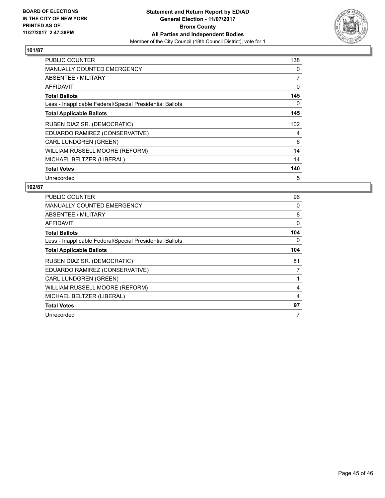

| <b>PUBLIC COUNTER</b>                                    | 138 |
|----------------------------------------------------------|-----|
| <b>MANUALLY COUNTED EMERGENCY</b>                        | 0   |
| <b>ABSENTEE / MILITARY</b>                               | 7   |
| AFFIDAVIT                                                | 0   |
| <b>Total Ballots</b>                                     | 145 |
| Less - Inapplicable Federal/Special Presidential Ballots | 0   |
| <b>Total Applicable Ballots</b>                          | 145 |
| RUBEN DIAZ SR. (DEMOCRATIC)                              | 102 |
| EDUARDO RAMIREZ (CONSERVATIVE)                           | 4   |
| CARL LUNDGREN (GREEN)                                    | 6   |
| WILLIAM RUSSELL MOORE (REFORM)                           | 14  |
| MICHAEL BELTZER (LIBERAL)                                | 14  |
| <b>Total Votes</b>                                       | 140 |
| Unrecorded                                               | 5   |

| <b>PUBLIC COUNTER</b>                                    | 96       |
|----------------------------------------------------------|----------|
| <b>MANUALLY COUNTED EMERGENCY</b>                        | 0        |
| ABSENTEE / MILITARY                                      | 8        |
| AFFIDAVIT                                                | $\Omega$ |
| <b>Total Ballots</b>                                     | 104      |
| Less - Inapplicable Federal/Special Presidential Ballots | 0        |
| <b>Total Applicable Ballots</b>                          | 104      |
| RUBEN DIAZ SR. (DEMOCRATIC)                              | 81       |
| EDUARDO RAMIREZ (CONSERVATIVE)                           | 7        |
| CARL LUNDGREN (GREEN)                                    |          |
| WILLIAM RUSSELL MOORE (REFORM)                           | 4        |
| MICHAEL BELTZER (LIBERAL)                                | 4        |
| <b>Total Votes</b>                                       | 97       |
| Unrecorded                                               | 7        |